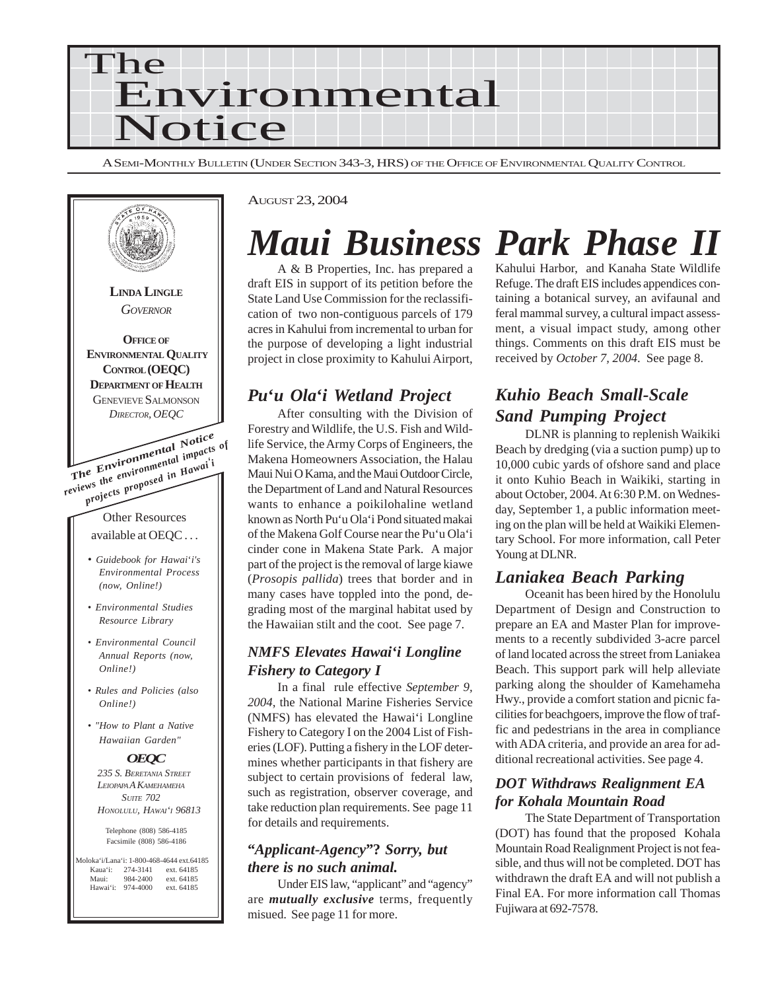

A SEMI-MONTHLY BULLETIN (UNDER SECTION 343-3, HRS) OF THE OFFICE OF ENVIRONMENTAL QUALITY CONTROL



#### AUGUST 23, 2004

## *Maui Business Park Phase II*

A & B Properties, Inc. has prepared a draft EIS in support of its petition before the State Land Use Commission for the reclassification of two non-contiguous parcels of 179 acres in Kahului from incremental to urban for the purpose of developing a light industrial project in close proximity to Kahului Airport,

## *Pu***'***u Ola***'***i Wetland Project*

After consulting with the Division of Forestry and Wildlife, the U.S. Fish and Wildlife Service, the Army Corps of Engineers, the Makena Homeowners Association, the Halau Maui Nui O Kama, and the Maui Outdoor Circle, the Department of Land and Natural Resources wants to enhance a poikilohaline wetland known as North Pu'u Ola'i Pond situated makai of the Makena Golf Course near the Pu'u Ola'i cinder cone in Makena State Park. A major part of the project is the removal of large kiawe (*Prosopis pallida*) trees that border and in many cases have toppled into the pond, degrading most of the marginal habitat used by the Hawaiian stilt and the coot. See page 7.

### *NMFS Elevates Hawai'i Longline Fishery to Category I*

In a final rule effective *September 9, 2004*, the National Marine Fisheries Service (NMFS) has elevated the Hawai'i Longline Fishery to Category I on the 2004 List of Fisheries (LOF). Putting a fishery in the LOF determines whether participants in that fishery are subject to certain provisions of federal law, such as registration, observer coverage, and take reduction plan requirements. See page 11 for details and requirements.

### **"***Applicant-Agency***"?** *Sorry, but there is no such animal.*

Under EIS law, "applicant" and "agency" are *mutually exclusive* terms, frequently misued. See page 11 for more.

Kahului Harbor, and Kanaha State Wildlife Refuge. The draft EIS includes appendices containing a botanical survey, an avifaunal and feral mammal survey, a cultural impact assessment, a visual impact study, among other things. Comments on this draft EIS must be received by *October 7, 2004*. See page 8.

## *Kuhio Beach Small-Scale Sand Pumping Project*

DLNR is planning to replenish Waikiki Beach by dredging (via a suction pump) up to 10,000 cubic yards of ofshore sand and place it onto Kuhio Beach in Waikiki, starting in about October, 2004. At 6:30 P.M. on Wednesday, September 1, a public information meeting on the plan will be held at Waikiki Elementary School. For more information, call Peter Young at DLNR.

## *Laniakea Beach Parking*

Oceanit has been hired by the Honolulu Department of Design and Construction to prepare an EA and Master Plan for improvements to a recently subdivided 3-acre parcel of land located across the street from Laniakea Beach. This support park will help alleviate parking along the shoulder of Kamehameha Hwy., provide a comfort station and picnic facilities for beachgoers, improve the flow of traffic and pedestrians in the area in compliance with ADA criteria, and provide an area for additional recreational activities. See page 4.

### *DOT Withdraws Realignment EA for Kohala Mountain Road*

The State Department of Transportation (DOT) has found that the proposed Kohala Mountain Road Realignment Project is not feasible, and thus will not be completed. DOT has withdrawn the draft EA and will not publish a Final EA. For more information call Thomas Fujiwara at 692-7578.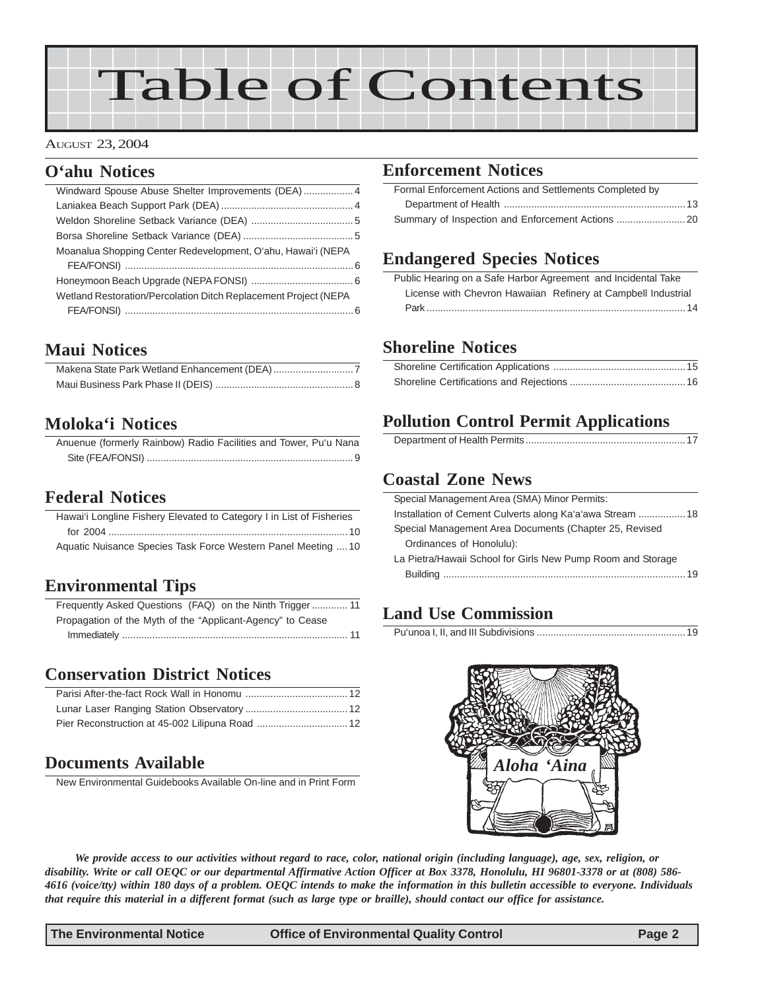# Table of Contents

#### AUGUST 23, 2004

## **O'ahu Notices**

| Moanalua Shopping Center Redevelopment, O'ahu, Hawai'i (NEPA    |  |
|-----------------------------------------------------------------|--|
|                                                                 |  |
|                                                                 |  |
| Wetland Restoration/Percolation Ditch Replacement Project (NEPA |  |
|                                                                 |  |
|                                                                 |  |

## **Maui Notices**

## **Moloka'i Notices**

| Anuenue (formerly Rainbow) Radio Facilities and Tower, Pu'u Nana |  |  |  |  |
|------------------------------------------------------------------|--|--|--|--|
|                                                                  |  |  |  |  |

## **Federal Notices**

| Hawai'i Longline Fishery Elevated to Category I in List of Fisheries |
|----------------------------------------------------------------------|
|                                                                      |
|                                                                      |
| Aquatic Nuisance Species Task Force Western Panel Meeting  10        |
|                                                                      |

## **Environmental Tips**

[Frequently Asked Questions \(FAQ\) on the Ninth Trigger ............. 11](#page-10-0) [Propagation of the Myth of the "Applicant-Agency" to Cease](#page-10-0) Immediately [.................................................................................. 11](#page-10-0)

## **Conservation District Notices**

## **Documents Available**

New Environmental Guidebooks Available On-line and in Print Form

## **Enforcement Notices**

| Formal Enforcement Actions and Settlements Completed by |
|---------------------------------------------------------|
|                                                         |
|                                                         |

## **Endangered Species Notices**

| Public Hearing on a Safe Harbor Agreement and Incidental Take |  |
|---------------------------------------------------------------|--|
| License with Chevron Hawaiian Refinery at Campbell Industrial |  |
|                                                               |  |

## **Shoreline Notices**

## **Pollution Control Permit Applications**

|--|

## **Coastal Zone News**

| Special Management Area (SMA) Minor Permits:                |
|-------------------------------------------------------------|
| Installation of Cement Culverts along Ka'a'awa Stream  18   |
| Special Management Area Documents (Chapter 25, Revised      |
| Ordinances of Honolulu):                                    |
| La Pietra/Hawaii School for Girls New Pump Room and Storage |
|                                                             |
|                                                             |

## **Land Use Commission**

Pu'unoa I, II, and III Subdivisions [......................................................](#page-18-0)19



*We provide access to our activities without regard to race, color, national origin (including language), age, sex, religion, or disability. Write or call OEQC or our departmental Affirmative Action Officer at Box 3378, Honolulu, HI 96801-3378 or at (808) 586- 4616 (voice/tty) within 180 days of a problem. OEQC intends to make the information in this bulletin accessible to everyone. Individuals that require this material in a different format (such as large type or braille), should contact our office for assistance.*

**The Environmental Notice Office of Environmental Quality Control Page 2**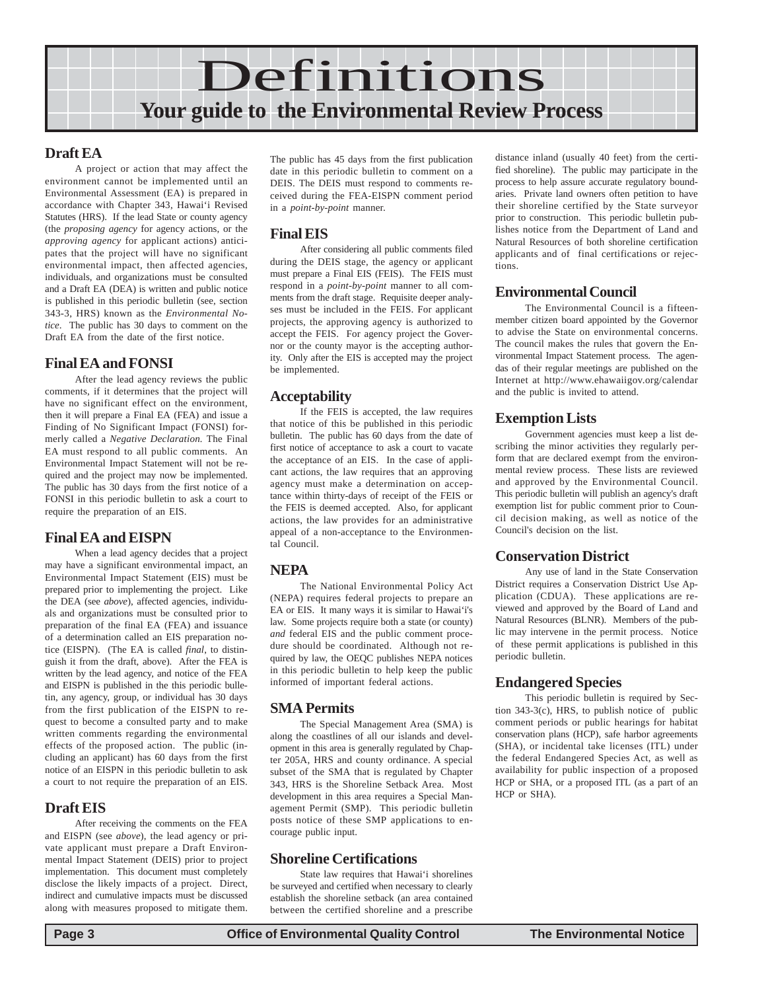

#### **Draft EA**

A project or action that may affect the environment cannot be implemented until an Environmental Assessment (EA) is prepared in accordance with Chapter 343, Hawai'i Revised Statutes (HRS). If the lead State or county agency (the *proposing agency* for agency actions, or the *approving agency* for applicant actions) anticipates that the project will have no significant environmental impact, then affected agencies, individuals, and organizations must be consulted and a Draft EA (DEA) is written and public notice is published in this periodic bulletin (see, section 343-3, HRS) known as the *Environmental Notice*. The public has 30 days to comment on the Draft EA from the date of the first notice.

#### **Final EA and FONSI**

After the lead agency reviews the public comments, if it determines that the project will have no significant effect on the environment, then it will prepare a Final EA (FEA) and issue a Finding of No Significant Impact (FONSI) formerly called a *Negative Declaration.* The Final EA must respond to all public comments. An Environmental Impact Statement will not be required and the project may now be implemented. The public has 30 days from the first notice of a FONSI in this periodic bulletin to ask a court to require the preparation of an EIS.

#### **Final EA and EISPN**

When a lead agency decides that a project may have a significant environmental impact, an Environmental Impact Statement (EIS) must be prepared prior to implementing the project. Like the DEA (see *above*), affected agencies, individuals and organizations must be consulted prior to preparation of the final EA (FEA) and issuance of a determination called an EIS preparation notice (EISPN). (The EA is called *final*, to distinguish it from the draft, above). After the FEA is written by the lead agency, and notice of the FEA and EISPN is published in the this periodic bulletin, any agency, group, or individual has 30 days from the first publication of the EISPN to request to become a consulted party and to make written comments regarding the environmental effects of the proposed action. The public (including an applicant) has 60 days from the first notice of an EISPN in this periodic bulletin to ask a court to not require the preparation of an EIS.

#### **Draft EIS**

After receiving the comments on the FEA and EISPN (see *above*), the lead agency or private applicant must prepare a Draft Environmental Impact Statement (DEIS) prior to project implementation. This document must completely disclose the likely impacts of a project. Direct, indirect and cumulative impacts must be discussed along with measures proposed to mitigate them.

The public has 45 days from the first publication date in this periodic bulletin to comment on a DEIS. The DEIS must respond to comments received during the FEA-EISPN comment period in a *point-by-point* manner.

#### **Final EIS**

After considering all public comments filed during the DEIS stage, the agency or applicant must prepare a Final EIS (FEIS). The FEIS must respond in a *point-by-point* manner to all comments from the draft stage. Requisite deeper analyses must be included in the FEIS. For applicant projects, the approving agency is authorized to accept the FEIS. For agency project the Governor or the county mayor is the accepting authority. Only after the EIS is accepted may the project be implemented.

#### **Acceptability**

If the FEIS is accepted, the law requires that notice of this be published in this periodic bulletin. The public has 60 days from the date of first notice of acceptance to ask a court to vacate the acceptance of an EIS. In the case of applicant actions, the law requires that an approving agency must make a determination on acceptance within thirty-days of receipt of the FEIS or the FEIS is deemed accepted. Also, for applicant actions, the law provides for an administrative appeal of a non-acceptance to the Environmental Council.

#### **NEPA**

The National Environmental Policy Act (NEPA) requires federal projects to prepare an EA or EIS. It many ways it is similar to Hawai'i's law. Some projects require both a state (or county) *and* federal EIS and the public comment procedure should be coordinated. Although not required by law, the OEQC publishes NEPA notices in this periodic bulletin to help keep the public informed of important federal actions.

#### **SMA Permits**

The Special Management Area (SMA) is along the coastlines of all our islands and development in this area is generally regulated by Chapter 205A, HRS and county ordinance. A special subset of the SMA that is regulated by Chapter 343, HRS is the Shoreline Setback Area. Most development in this area requires a Special Management Permit (SMP). This periodic bulletin posts notice of these SMP applications to encourage public input.

#### **Shoreline Certifications**

State law requires that Hawai'i shorelines be surveyed and certified when necessary to clearly establish the shoreline setback (an area contained between the certified shoreline and a prescribe distance inland (usually 40 feet) from the certified shoreline). The public may participate in the process to help assure accurate regulatory boundaries. Private land owners often petition to have their shoreline certified by the State surveyor prior to construction. This periodic bulletin publishes notice from the Department of Land and Natural Resources of both shoreline certification applicants and of final certifications or rejections.

#### **Environmental Council**

The Environmental Council is a fifteenmember citizen board appointed by the Governor to advise the State on environmental concerns. The council makes the rules that govern the Environmental Impact Statement process. The agendas of their regular meetings are published on the Internet at http://www.ehawaiigov.org/calendar and the public is invited to attend.

### **Exemption Lists**

Government agencies must keep a list describing the minor activities they regularly perform that are declared exempt from the environmental review process. These lists are reviewed and approved by the Environmental Council. This periodic bulletin will publish an agency's draft exemption list for public comment prior to Council decision making, as well as notice of the Council's decision on the list.

#### **Conservation District**

Any use of land in the State Conservation District requires a Conservation District Use Application (CDUA). These applications are reviewed and approved by the Board of Land and Natural Resources (BLNR). Members of the public may intervene in the permit process. Notice of these permit applications is published in this periodic bulletin.

#### **Endangered Species**

This periodic bulletin is required by Section 343-3(c), HRS, to publish notice of public comment periods or public hearings for habitat conservation plans (HCP), safe harbor agreements (SHA), or incidental take licenses (ITL) under the federal Endangered Species Act, as well as availability for public inspection of a proposed HCP or SHA, or a proposed ITL (as a part of an HCP or SHA).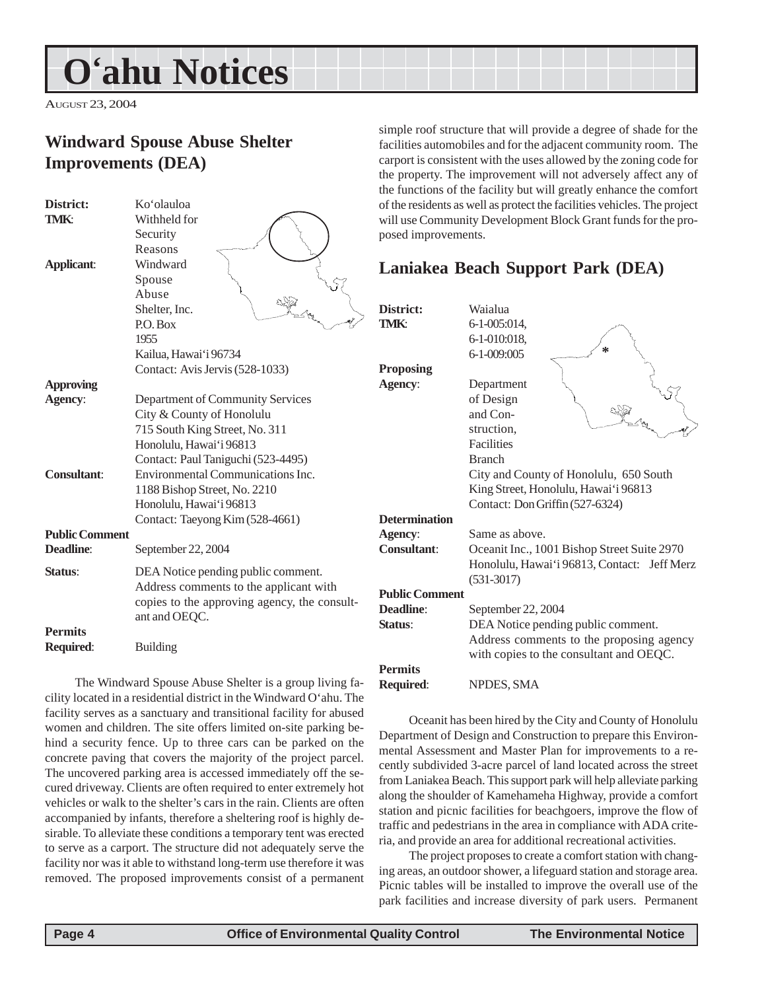## <span id="page-3-0"></span>**O'ahu Notices**

AUGUST 23, 2004

## **Windward Spouse Abuse Shelter Improvements (DEA)**

| District:             | Ko'olauloa                                   |  |
|-----------------------|----------------------------------------------|--|
| TMK:                  | Withheld for                                 |  |
|                       | Security                                     |  |
|                       | Reasons                                      |  |
| <b>Applicant:</b>     | Windward                                     |  |
|                       | Spouse                                       |  |
|                       | Abuse                                        |  |
|                       | Shelter, Inc.                                |  |
|                       | P.O. Box                                     |  |
|                       | 1955                                         |  |
|                       | Kailua, Hawai'i 96734                        |  |
|                       | Contact: Avis Jervis (528-1033)              |  |
| <b>Approving</b>      |                                              |  |
| Agency:               | Department of Community Services             |  |
|                       | City & County of Honolulu                    |  |
|                       | 715 South King Street, No. 311               |  |
|                       | Honolulu, Hawai'i 96813                      |  |
|                       | Contact: Paul Taniguchi (523-4495)           |  |
| <b>Consultant:</b>    | Environmental Communications Inc.            |  |
|                       | 1188 Bishop Street, No. 2210                 |  |
|                       | Honolulu, Hawai'i 96813                      |  |
|                       | Contact: Taeyong Kim (528-4661)              |  |
| <b>Public Comment</b> |                                              |  |
| <b>Deadline:</b>      | September 22, 2004                           |  |
| Status:               | DEA Notice pending public comment.           |  |
|                       | Address comments to the applicant with       |  |
|                       | copies to the approving agency, the consult- |  |
|                       | ant and OEQC.                                |  |
| <b>Permits</b>        |                                              |  |
| Required:             | <b>Building</b>                              |  |
|                       |                                              |  |

The Windward Spouse Abuse Shelter is a group living cility located in a residential district in the Windward O'ahu. The facility serves as a sanctuary and transitional facility for abused women and children. The site offers limited on-site parking behind a security fence. Up to three cars can be parked on the concrete paving that covers the majority of the project parcel. The uncovered parking area is accessed immediately off the secured driveway. Clients are often required to enter extremely hot vehicles or walk to the shelter's cars in the rain. Clients are often accompanied by infants, therefore a sheltering roof is highly desirable. To alleviate these conditions a temporary tent was erected to serve as a carport. The structure did not adequately serve the facility nor was it able to withstand long-term use therefore it was removed. The proposed improvements consist of a permanent

simple roof structure that will provide a degree of shade for the facilities automobiles and for the adjacent community room. The carport is consistent with the uses allowed by the zoning code for the property. The improvement will not adversely affect any of the functions of the facility but will greatly enhance the comfort of the residents as well as protect the facilities vehicles. The project will use Community Development Block Grant funds for the proposed improvements.

## **Laniakea Beach Support Park (DEA)**

| District:             | Waialua                                     |
|-----------------------|---------------------------------------------|
| TMK:                  | 6-1-005:014,                                |
|                       | 6-1-010:018,                                |
|                       | 6-1-009:005                                 |
| Proposing             |                                             |
| Agency:               | Department                                  |
|                       | of Design                                   |
|                       | and Con-                                    |
|                       | struction,                                  |
|                       | <b>Facilities</b>                           |
|                       | <b>Branch</b>                               |
|                       | City and County of Honolulu, 650 South      |
|                       | King Street, Honolulu, Hawai'i 96813        |
|                       | Contact: Don Griffin (527-6324)             |
| <b>Determination</b>  |                                             |
| Agency:               | Same as above.                              |
| <b>Consultant:</b>    | Oceanit Inc., 1001 Bishop Street Suite 2970 |
|                       | Honolulu, Hawai'i 96813, Contact: Jeff Merz |
|                       | $(531-3017)$                                |
| <b>Public Comment</b> |                                             |
| Deadline:             | September 22, 2004                          |
| Status:               | DEA Notice pending public comment.          |
|                       | Address comments to the proposing agency    |
|                       | with copies to the consultant and OEQC.     |
| <b>Permits</b>        |                                             |
| Required:             | NPDES, SMA                                  |
|                       |                                             |

Oceanit has been hired by the City and County of Honolulu Department of Design and Construction to prepare this Environmental Assessment and Master Plan for improvements to a recently subdivided 3-acre parcel of land located across the street from Laniakea Beach. This support park will help alleviate parking along the shoulder of Kamehameha Highway, provide a comfort station and picnic facilities for beachgoers, improve the flow of traffic and pedestrians in the area in compliance with ADA criteria, and provide an area for additional recreational activities.

The project proposes to create a comfort station with changing areas, an outdoor shower, a lifeguard station and storage area. Picnic tables will be installed to improve the overall use of the park facilities and increase diversity of park users. Permanent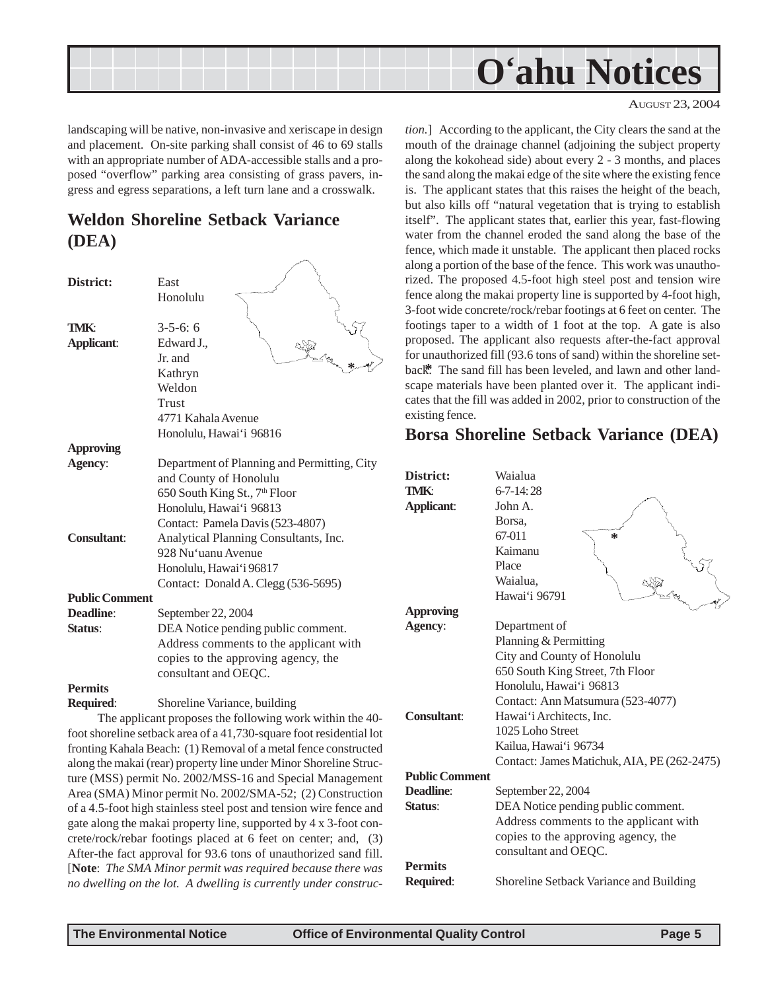<span id="page-4-0"></span>

AUGUST 23, 2004

landscaping will be native, non-invasive and xeriscape in design and placement. On-site parking shall consist of 46 to 69 stalls with an appropriate number of ADA-accessible stalls and a proposed "overflow" parking area consisting of grass pavers, ingress and egress separations, a left turn lane and a crosswalk.

## **Weldon Shoreline Setback Variance (DEA)**

| District:             | East                                                      |
|-----------------------|-----------------------------------------------------------|
|                       | Honolulu                                                  |
|                       |                                                           |
| TMK:                  | $3 - 5 - 6$ : 6                                           |
| Applicant:            | Edward J.,                                                |
|                       | Jr. and                                                   |
|                       | Kathryn                                                   |
|                       | Weldon                                                    |
|                       | Trust                                                     |
|                       | 4771 Kahala Avenue                                        |
|                       | Honolulu, Hawai'i 96816                                   |
| <b>Approving</b>      |                                                           |
| Agency:               | Department of Planning and Permitting, City               |
|                       | and County of Honolulu                                    |
|                       | 650 South King St., 7 <sup>th</sup> Floor                 |
|                       | Honolulu, Hawai'i 96813                                   |
|                       | Contact: Pamela Davis (523-4807)                          |
| <b>Consultant:</b>    | Analytical Planning Consultants, Inc.                     |
|                       | 928 Nu'uanu Avenue                                        |
|                       | Honolulu, Hawai'i 96817                                   |
|                       | Contact: Donald A. Clegg (536-5695)                       |
| <b>Public Comment</b> |                                                           |
| <b>Deadline:</b>      | September 22, 2004                                        |
| Status:               | DEA Notice pending public comment.                        |
|                       | Address comments to the applicant with                    |
|                       | copies to the approving agency, the                       |
|                       | consultant and OEQC.                                      |
| <b>Permits</b>        |                                                           |
| Required:             | Shoreline Variance, building                              |
|                       | The evaluant nuonesses the following weak within the $40$ |

The applicant proposes the following work within the 40 foot shoreline setback area of a 41,730-square foot residential lot fronting Kahala Beach: (1) Removal of a metal fence constructed along the makai (rear) property line under Minor Shoreline Structure (MSS) permit No. 2002/MSS-16 and Special Management Area (SMA) Minor permit No. 2002/SMA-52; (2) Construction of a 4.5-foot high stainless steel post and tension wire fence and gate along the makai property line, supported by 4 x 3-foot concrete/rock/rebar footings placed at 6 feet on center; and, (3) After-the fact approval for 93.6 tons of unauthorized sand fill. [**Note**: *The SMA Minor permit was required because there was no dwelling on the lot. A dwelling is currently under construc-* *tion.*] According to the applicant, the City clears the sand at the mouth of the drainage channel (adjoining the subject property along the kokohead side) about every 2 - 3 months, and places the sand along the makai edge of the site where the existing fence is. The applicant states that this raises the height of the beach, but also kills off "natural vegetation that is trying to establish itself". The applicant states that, earlier this year, fast-flowing water from the channel eroded the sand along the base of the fence, which made it unstable. The applicant then placed rocks along a portion of the base of the fence. This work was unauthorized. The proposed 4.5-foot high steel post and tension wire fence along the makai property line is supported by 4-foot high, 3-foot wide concrete/rock/rebar footings at 6 feet on center. The footings taper to a width of 1 foot at the top. A gate is also proposed. The applicant also requests after-the-fact approval for unauthorized fill (93.6 tons of sand) within the shoreline setback<sup>\*</sup>. The sand fill has been leveled, and lawn and other landscape materials have been planted over it. The applicant indicates that the fill was added in 2002, prior to construction of the existing fence.

## **Borsa Shoreline Setback Variance (DEA)**

| District:<br>TMK:     | Waialua<br>$6 - 7 - 14:28$                  |
|-----------------------|---------------------------------------------|
| <b>Applicant:</b>     | John A <sub>1</sub>                         |
|                       | Borsa,                                      |
|                       | 67-011<br>$\ast$                            |
|                       | Kaimanu                                     |
|                       | Place                                       |
|                       | Waialua,                                    |
|                       | Hawai'i 96791                               |
| <b>Approving</b>      |                                             |
| Agency:               | Department of                               |
|                       | Planning & Permitting                       |
|                       | City and County of Honolulu                 |
|                       | 650 South King Street, 7th Floor            |
|                       | Honolulu, Hawai'i 96813                     |
|                       | Contact: Ann Matsumura (523-4077)           |
| Consultant:           | Hawai'i Architects, Inc.                    |
|                       | 1025 Loho Street                            |
|                       | Kailua, Hawai'i 96734                       |
|                       | Contact: James Matichuk, AIA, PE (262-2475) |
| <b>Public Comment</b> |                                             |
| Deadline:             | September 22, 2004                          |
| Status:               | DEA Notice pending public comment.          |
|                       | Address comments to the applicant with      |
|                       | copies to the approving agency, the         |
|                       | consultant and OEQC.                        |
| <b>Permits</b>        |                                             |
| Required:             | Shoreline Setback Variance and Building     |
|                       |                                             |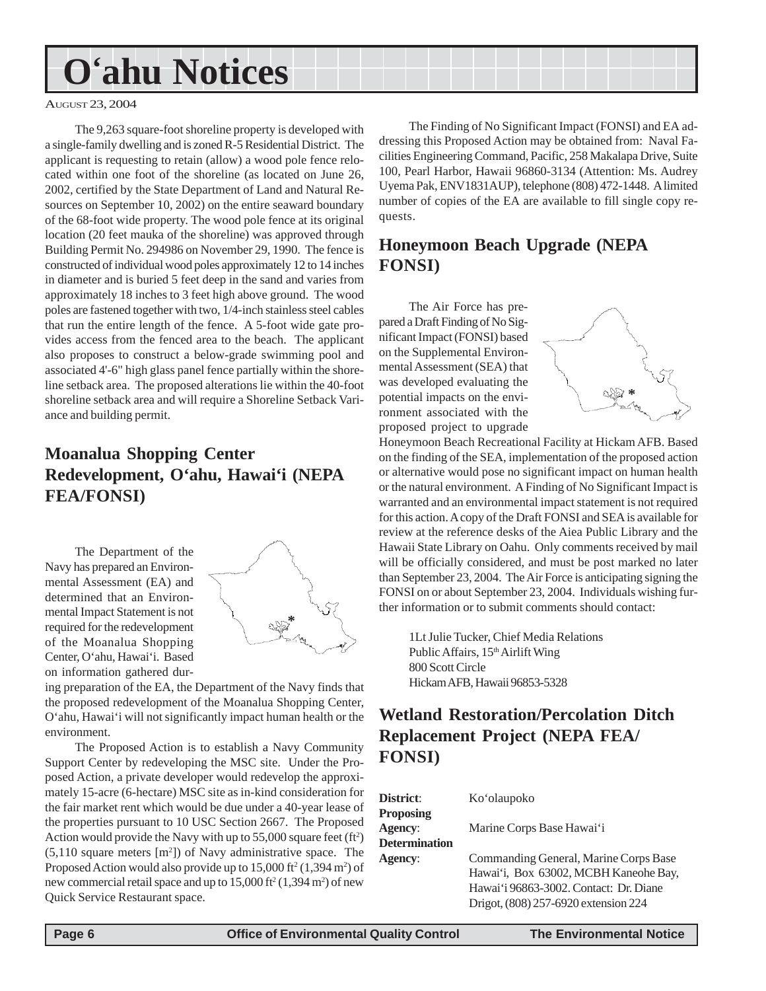## <span id="page-5-0"></span>**O'ahu Notices**

#### AUGUST 23, 2004

The 9,263 square-foot shoreline property is developed with a single-family dwelling and is zoned R-5 Residential District. The applicant is requesting to retain (allow) a wood pole fence relocated within one foot of the shoreline (as located on June 26, 2002, certified by the State Department of Land and Natural Resources on September 10, 2002) on the entire seaward boundary of the 68-foot wide property. The wood pole fence at its original location (20 feet mauka of the shoreline) was approved through Building Permit No. 294986 on November 29, 1990. The fence is constructed of individual wood poles approximately 12 to 14 inches in diameter and is buried 5 feet deep in the sand and varies from approximately 18 inches to 3 feet high above ground. The wood poles are fastened together with two, 1/4-inch stainless steel cables that run the entire length of the fence. A 5-foot wide gate provides access from the fenced area to the beach. The applicant also proposes to construct a below-grade swimming pool and associated 4'-6" high glass panel fence partially within the shoreline setback area. The proposed alterations lie within the 40-foot shoreline setback area and will require a Shoreline Setback Variance and building permit.

## **Moanalua Shopping Center Redevelopment, O'ahu, Hawai'i (NEPA FEA/FONSI)**

The Department of the Navy has prepared an Environmental Assessment (EA) and determined that an Environmental Impact Statement is not required for the redevelopment of the Moanalua Shopping Center, O'ahu, Hawai'i. Based on information gathered dur-



ing preparation of the EA, the Department of the Navy finds that the proposed redevelopment of the Moanalua Shopping Center, O'ahu, Hawai'i will not significantly impact human health or the environment.

The Proposed Action is to establish a Navy Community Support Center by redeveloping the MSC site. Under the Proposed Action, a private developer would redevelop the approximately 15-acre (6-hectare) MSC site as in-kind consideration for the fair market rent which would be due under a 40-year lease of the properties pursuant to 10 USC Section 2667. The Proposed Action would provide the Navy with up to  $55,000$  square feet (ft<sup>2</sup>)  $(5,110)$  square meters  $[m<sup>2</sup>]$ ) of Navy administrative space. The Proposed Action would also provide up to  $15,000$  ft<sup>2</sup> (1,394 m<sup>2</sup>) of new commercial retail space and up to  $15,000$  ft<sup>2</sup> (1,394 m<sup>2</sup>) of new Quick Service Restaurant space.

The Finding of No Significant Impact (FONSI) and EA addressing this Proposed Action may be obtained from: Naval Facilities Engineering Command, Pacific, 258 Makalapa Drive, Suite 100, Pearl Harbor, Hawaii 96860-3134 (Attention: Ms. Audrey Uyema Pak, ENV1831AUP), telephone (808) 472-1448. A limited number of copies of the EA are available to fill single copy requests.

## **Honeymoon Beach Upgrade (NEPA FONSI)**

The Air Force has prepared a Draft Finding of No Significant Impact (FONSI) based on the Supplemental Environmental Assessment (SEA) that was developed evaluating the potential impacts on the environment associated with the proposed project to upgrade



Honeymoon Beach Recreational Facility at Hickam AFB. Based on the finding of the SEA, implementation of the proposed action or alternative would pose no significant impact on human health or the natural environment. A Finding of No Significant Impact is warranted and an environmental impact statement is not required for this action. A copy of the Draft FONSI and SEA is available for review at the reference desks of the Aiea Public Library and the Hawaii State Library on Oahu. Only comments received by mail will be officially considered, and must be post marked no later than September 23, 2004. The Air Force is anticipating signing the FONSI on or about September 23, 2004. Individuals wishing further information or to submit comments should contact:

1Lt Julie Tucker, Chief Media Relations Public Affairs, 15<sup>th</sup> Airlift Wing 800 Scott Circle Hickam AFB, Hawaii 96853-5328

## **Wetland Restoration/Percolation Ditch Replacement Project (NEPA FEA/ FONSI)**

| District:                          | Ko'olaupoko                                                                    |
|------------------------------------|--------------------------------------------------------------------------------|
| <b>Proposing</b><br><b>Agency:</b> |                                                                                |
| <b>Determination</b>               | Marine Corps Base Hawai'i                                                      |
| <b>Agency:</b>                     | Commanding General, Marine Corps Base<br>Hawai'i, Box 63002, MCBH Kaneohe Bay, |
|                                    | Hawai'i 96863-3002. Contact: Dr. Diane                                         |
|                                    | Drigot, (808) 257-6920 extension 224                                           |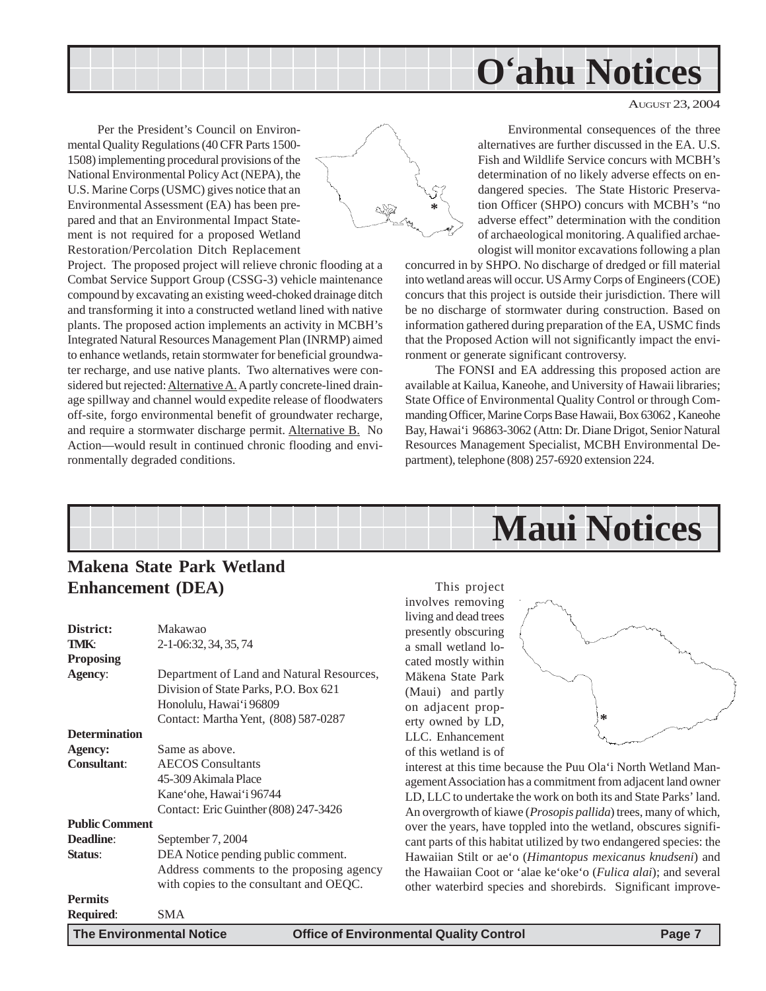

AUGUST 23, 2004

<span id="page-6-0"></span>Per the President's Council on Environmental Quality Regulations (40 CFR Parts 1500- 1508) implementing procedural provisions of the National Environmental Policy Act (NEPA), the U.S. Marine Corps (USMC) gives notice that an Environmental Assessment (EA) has been prepared and that an Environmental Impact Statement is not required for a proposed Wetland Restoration/Percolation Ditch Replacement



Project. The proposed project will relieve chronic flooding at a Combat Service Support Group (CSSG-3) vehicle maintenance compound by excavating an existing weed-choked drainage ditch and transforming it into a constructed wetland lined with native plants. The proposed action implements an activity in MCBH's Integrated Natural Resources Management Plan (INRMP) aimed to enhance wetlands, retain stormwater for beneficial groundwater recharge, and use native plants. Two alternatives were considered but rejected: **Alternative A.** A partly concrete-lined drainage spillway and channel would expedite release of floodwaters off-site, forgo environmental benefit of groundwater recharge, and require a stormwater discharge permit. Alternative B. No Action—would result in continued chronic flooding and environmentally degraded conditions.

Environmental consequences of the three alternatives are further discussed in the EA. U.S. Fish and Wildlife Service concurs with MCBH's determination of no likely adverse effects on endangered species. The State Historic Preservation Officer (SHPO) concurs with MCBH's "no adverse effect" determination with the condition of archaeological monitoring. A qualified archaeologist will monitor excavations following a plan

concurred in by SHPO. No discharge of dredged or fill material into wetland areas will occur. US Army Corps of Engineers (COE) concurs that this project is outside their jurisdiction. There will be no discharge of stormwater during construction. Based on information gathered during preparation of the EA, USMC finds that the Proposed Action will not significantly impact the environment or generate significant controversy.

The FONSI and EA addressing this proposed action are available at Kailua, Kaneohe, and University of Hawaii libraries; State Office of Environmental Quality Control or through Commanding Officer, Marine Corps Base Hawaii, Box 63062 , Kaneohe Bay, Hawai'i 96863-3062 (Attn: Dr. Diane Drigot, Senior Natural Resources Management Specialist, MCBH Environmental Department), telephone (808) 257-6920 extension 224.



## **Makena State Park Wetland Enhancement (DEA)**

| District:             | Makawao                                   |
|-----------------------|-------------------------------------------|
| <b>TMK:</b>           | 2-1-06:32, 34, 35, 74                     |
| <b>Proposing</b>      |                                           |
| Agency:               | Department of Land and Natural Resources, |
|                       | Division of State Parks, P.O. Box 621     |
|                       | Honolulu, Hawai'i 96809                   |
|                       | Contact: Martha Yent, (808) 587-0287      |
| <b>Determination</b>  |                                           |
| Agency:               | Same as above.                            |
| <b>Consultant:</b>    | <b>AECOS</b> Consultants                  |
|                       | 45-309 Akimala Place                      |
|                       | Kane'ohe, Hawai'i 96744                   |
|                       | Contact: Eric Guinther (808) 247-3426     |
| <b>Public Comment</b> |                                           |
| <b>Deadline:</b>      | September 7, 2004                         |
| Status:               | DEA Notice pending public comment.        |
|                       | Address comments to the proposing agency  |
|                       | with copies to the consultant and OEQC.   |
| <b>Permits</b>        |                                           |
| Required:             | SMA                                       |
| $-$                   |                                           |

This project involves removing living and dead trees presently obscuring a small wetland located mostly within Mäkena State Park (Maui) and partly on adjacent property owned by LD, LLC. Enhancement of this wetland is of



interest at this time because the Puu Ola'i North Wetland Management Association has a commitment from adjacent land owner LD, LLC to undertake the work on both its and State Parks' land. An overgrowth of kiawe (*Prosopis pallida*) trees, many of which, over the years, have toppled into the wetland, obscures significant parts of this habitat utilized by two endangered species: the Hawaiian Stilt or ae'o (*Himantopus mexicanus knudseni*) and the Hawaiian Coot or 'alae ke'oke'o (*Fulica alai*); and several other waterbird species and shorebirds. Significant improve-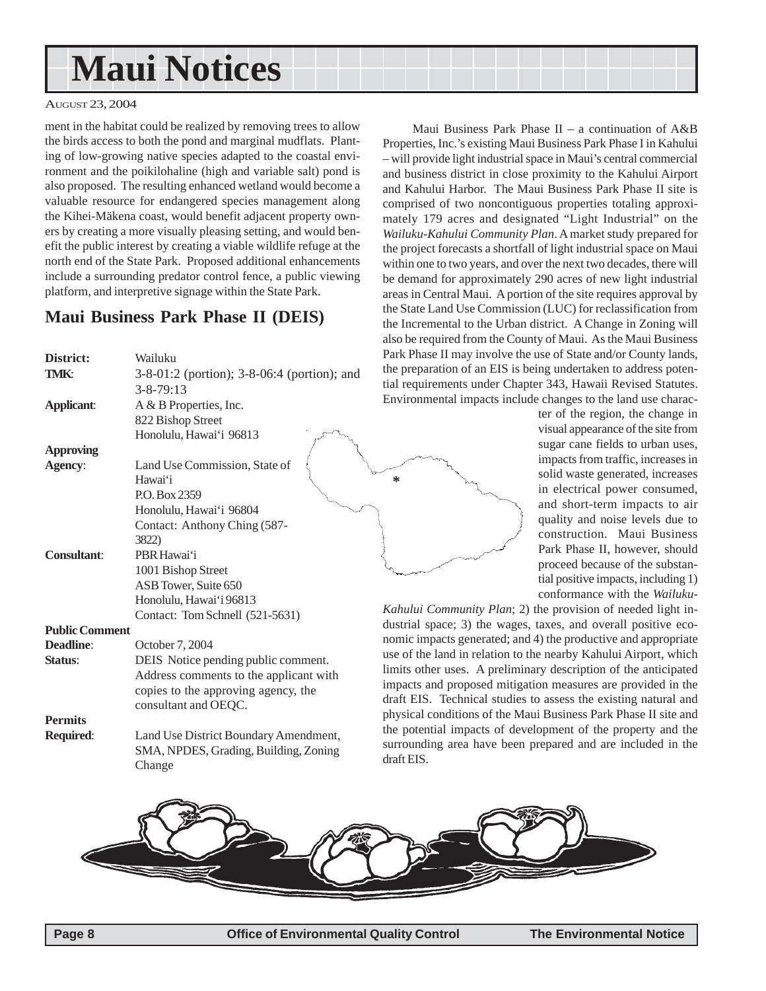## <span id="page-7-0"></span>**Maui Notices**

#### AUGUST 23, 2004

ment in the habitat could be realized by removing trees to allow the birds access to both the pond and marginal mudflats. Planting of low-growing native species adapted to the coastal environment and the poikilohaline (high and variable salt) pond is also proposed. The resulting enhanced wetland would become a valuable resource for endangered species management along the Kihei-Mäkena coast, would benefit adjacent property owners by creating a more visually pleasing setting, and would benefit the public interest by creating a viable wildlife refuge at the north end of the State Park. Proposed additional enhancements include a surrounding predator control fence, a public viewing platform, and interpretive signage within the State Park.

### **Maui Business Park Phase II (DEIS)**

| District:             | Wailuku                                     | Park Phase II may involve     |
|-----------------------|---------------------------------------------|-------------------------------|
| <b>TMK:</b>           | 3-8-01:2 (portion); 3-8-06:4 (portion); and | the preparation of an EIS is  |
|                       | $3 - 8 - 79:13$                             | tial requirements under Ch    |
| <b>Applicant:</b>     | A & B Properties, Inc.                      | Environmental impacts inc     |
|                       | 822 Bishop Street                           |                               |
|                       | Honolulu, Hawai'i 96813                     |                               |
| <b>Approving</b>      |                                             |                               |
| Agency:               | Land Use Commission, State of               |                               |
|                       | Hawai'i                                     | ∗                             |
|                       | P.O. Box 2359                               |                               |
|                       | Honolulu, Hawai'i 96804                     |                               |
|                       | Contact: Anthony Ching (587-                |                               |
|                       | 3822)                                       |                               |
| <b>Consultant:</b>    | PBR Hawai'i                                 |                               |
|                       | 1001 Bishop Street                          |                               |
|                       | ASB Tower, Suite 650                        |                               |
|                       | Honolulu, Hawai'i 96813                     | Kahului Community Plan;       |
|                       | Contact: Tom Schnell (521-5631)             | dustrial space; 3) the wag    |
| <b>Public Comment</b> |                                             | nomic impacts generated; a    |
| <b>Deadline:</b>      | October 7, 2004                             | use of the land in relation t |
| Status:               | DEIS Notice pending public comment.         | limits other uses. A prelin   |
|                       | Address comments to the applicant with      | impacts and proposed miti     |
|                       | copies to the approving agency, the         | draft EIS. Technical studi    |
|                       | consultant and OEQC.                        | physical conditions of the I  |
| <b>Permits</b>        |                                             | the potential impacts of do   |
| Required:             | Land Use District Boundary Amendment,       | surrounding area have bee     |
|                       | SMA, NPDES, Grading, Building, Zoning       | draft EIS.                    |
|                       | Change                                      |                               |
|                       |                                             |                               |

Maui Business Park Phase II – a continuation of A&B Properties, Inc.'s existing Maui Business Park Phase I in Kahului – will provide light industrial space in Maui's central commercial and business district in close proximity to the Kahului Airport and Kahului Harbor. The Maui Business Park Phase II site is comprised of two noncontiguous properties totaling approximately 179 acres and designated "Light Industrial" on the *Wailuku-Kahului Community Plan*. A market study prepared for the project forecasts a shortfall of light industrial space on Maui within one to two years, and over the next two decades, there will be demand for approximately 290 acres of new light industrial areas in Central Maui. A portion of the site requires approval by the State Land Use Commission (LUC) for reclassification from the Incremental to the Urban district. A Change in Zoning will also be required from the County of Maui. As the Maui Business the use of State and/or County lands, s being undertaken to address potenapter 343, Hawaii Revised Statutes. lude changes to the land use charac-

> ter of the region, the change in visual appearance of the site from sugar cane fields to urban uses, impacts from traffic, increases in solid waste generated, increases in electrical power consumed, and short-term impacts to air quality and noise levels due to construction. Maui Business Park Phase II, however, should proceed because of the substantial positive impacts, including 1) conformance with the *Wailuku-*

2) the provision of needed light ines, taxes, and overall positive econd 4) the productive and appropriate to the nearby Kahului Airport, which hinary description of the anticipated gation measures are provided in the es to assess the existing natural and Maui Business Park Phase II site and evelopment of the property and the en prepared and are included in the

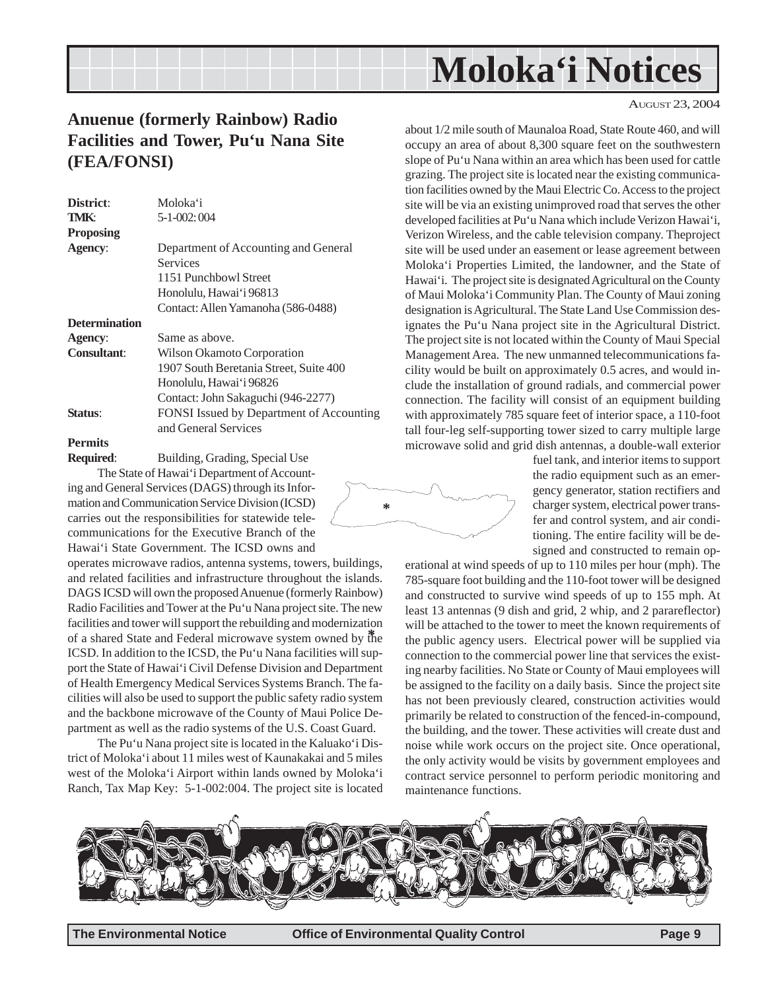## **Moloka'i Notices**

## <span id="page-8-0"></span>**Anuenue (formerly Rainbow) Radio Facilities and Tower, Pu'u Nana Site (FEA/FONSI)**

| District:            | Moloka'i                                 |
|----------------------|------------------------------------------|
| TMK:                 | $5 - 1 - 002$ ; 004                      |
| Proposing            |                                          |
| Agency:              | Department of Accounting and General     |
|                      | <b>Services</b>                          |
|                      | 1151 Punchbowl Street                    |
|                      | Honolulu, Hawai'i 96813                  |
|                      | Contact: Allen Yamanoha (586-0488)       |
| <b>Determination</b> |                                          |
| Agency:              | Same as above.                           |
| <b>Consultant:</b>   | Wilson Okamoto Corporation               |
|                      | 1907 South Beretania Street, Suite 400   |
|                      | Honolulu, Hawai'i 96826                  |
|                      | Contact: John Sakaguchi (946-2277)       |
| Status:              | FONSI Issued by Department of Accounting |
|                      | and General Services                     |
| Permits              |                                          |

**Required**: Building, Grading, Special Use The State of Hawai'i Department of Account-

ing and General Services (DAGS) through its Information and Communication Service Division (ICSD) carries out the responsibilities for statewide telecommunications for the Executive Branch of the Hawai'i State Government. The ICSD owns and

operates microwave radios, antenna systems, towers, buildings, and related facilities and infrastructure throughout the islands. DAGS ICSD will own the proposed Anuenue (formerly Rainbow) Radio Facilities and Tower at the Pu'u Nana project site. The new facilities and tower will support the rebuilding and modernization of a shared State and Federal microwave system owned by the **\*** ICSD. In addition to the ICSD, the Pu'u Nana facilities will support the State of Hawai'i Civil Defense Division and Department of Health Emergency Medical Services Systems Branch. The facilities will also be used to support the public safety radio system and the backbone microwave of the County of Maui Police Department as well as the radio systems of the U.S. Coast Guard.

The Pu'u Nana project site is located in the Kaluako'i District of Moloka'i about 11 miles west of Kaunakakai and 5 miles west of the Moloka'i Airport within lands owned by Moloka'i Ranch, Tax Map Key: 5-1-002:004. The project site is located AUGUST 23, 2004

about 1/2 mile south of Maunaloa Road, State Route 460, and will occupy an area of about 8,300 square feet on the southwestern slope of Pu'u Nana within an area which has been used for cattle grazing. The project site is located near the existing communication facilities owned by the Maui Electric Co. Access to the project site will be via an existing unimproved road that serves the other developed facilities at Pu'u Nana which include Verizon Hawai'i, Verizon Wireless, and the cable television company. Theproject site will be used under an easement or lease agreement between Moloka'i Properties Limited, the landowner, and the State of Hawai'i. The project site is designated Agricultural on the County of Maui Moloka'i Community Plan. The County of Maui zoning designation is Agricultural. The State Land Use Commission designates the Pu'u Nana project site in the Agricultural District. The project site is not located within the County of Maui Special Management Area. The new unmanned telecommunications facility would be built on approximately 0.5 acres, and would include the installation of ground radials, and commercial power connection. The facility will consist of an equipment building with approximately 785 square feet of interior space, a 110-foot tall four-leg self-supporting tower sized to carry multiple large microwave solid and grid dish antennas, a double-wall exterior

fuel tank, and interior items to support the radio equipment such as an emergency generator, station rectifiers and charger system, electrical power transfer and control system, and air conditioning. The entire facility will be designed and constructed to remain op-

erational at wind speeds of up to 110 miles per hour (mph). The 785-square foot building and the 110-foot tower will be designed and constructed to survive wind speeds of up to 155 mph. At least 13 antennas (9 dish and grid, 2 whip, and 2 parareflector) will be attached to the tower to meet the known requirements of the public agency users. Electrical power will be supplied via connection to the commercial power line that services the existing nearby facilities. No State or County of Maui employees will be assigned to the facility on a daily basis. Since the project site has not been previously cleared, construction activities would primarily be related to construction of the fenced-in-compound, the building, and the tower. These activities will create dust and noise while work occurs on the project site. Once operational, the only activity would be visits by government employees and contract service personnel to perform periodic monitoring and maintenance functions.



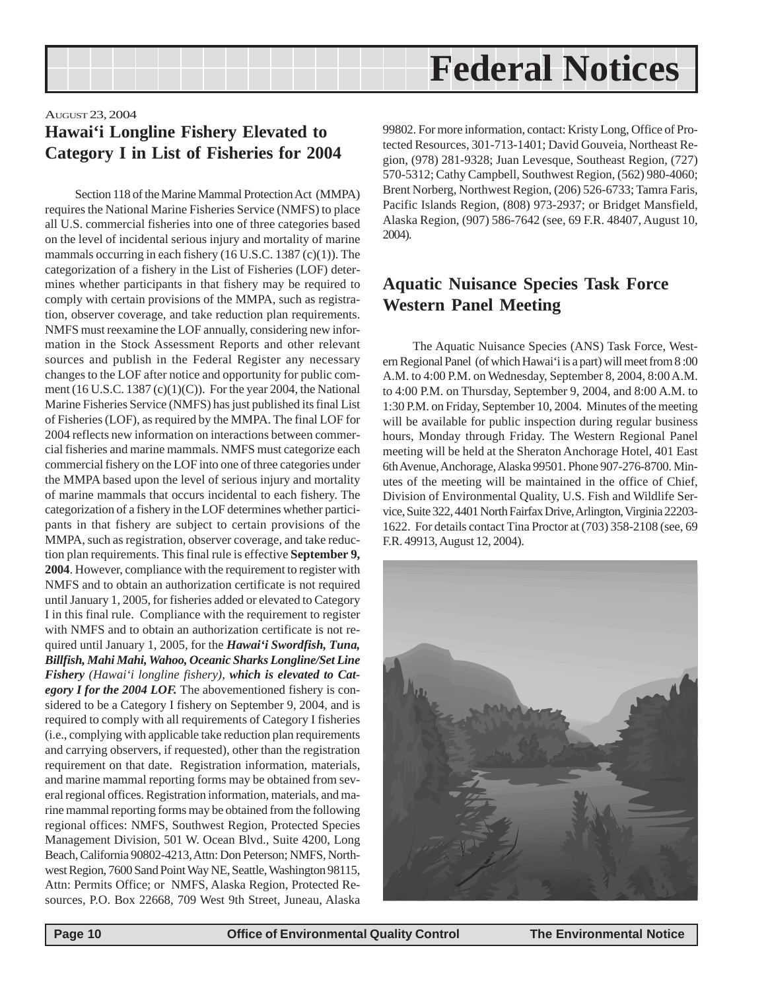<span id="page-9-0"></span>

### AUGUST 23, 2004 **Hawai'i Longline Fishery Elevated to Category I in List of Fisheries for 2004**

Section 118 of the Marine Mammal Protection Act (MMPA) requires the National Marine Fisheries Service (NMFS) to place all U.S. commercial fisheries into one of three categories based on the level of incidental serious injury and mortality of marine mammals occurring in each fishery (16 U.S.C. 1387 (c)(1)). The categorization of a fishery in the List of Fisheries (LOF) determines whether participants in that fishery may be required to comply with certain provisions of the MMPA, such as registration, observer coverage, and take reduction plan requirements. NMFS must reexamine the LOF annually, considering new information in the Stock Assessment Reports and other relevant sources and publish in the Federal Register any necessary changes to the LOF after notice and opportunity for public comment (16 U.S.C. 1387 (c)(1)(C)). For the year 2004, the National Marine Fisheries Service (NMFS) has just published its final List of Fisheries (LOF), as required by the MMPA. The final LOF for 2004 reflects new information on interactions between commercial fisheries and marine mammals. NMFS must categorize each commercial fishery on the LOF into one of three categories under the MMPA based upon the level of serious injury and mortality of marine mammals that occurs incidental to each fishery. The categorization of a fishery in the LOF determines whether participants in that fishery are subject to certain provisions of the MMPA, such as registration, observer coverage, and take reduction plan requirements. This final rule is effective **September 9, 2004**. However, compliance with the requirement to register with NMFS and to obtain an authorization certificate is not required until January 1, 2005, for fisheries added or elevated to Category I in this final rule. Compliance with the requirement to register with NMFS and to obtain an authorization certificate is not required until January 1, 2005, for the *Hawai'i Swordfish, Tuna, Billfish, Mahi Mahi, Wahoo, Oceanic Sharks Longline/Set Line Fishery (Hawai'i longline fishery), which is elevated to Category I for the 2004 LOF.* The abovementioned fishery is considered to be a Category I fishery on September 9, 2004, and is required to comply with all requirements of Category I fisheries (i.e., complying with applicable take reduction plan requirements and carrying observers, if requested), other than the registration requirement on that date. Registration information, materials, and marine mammal reporting forms may be obtained from several regional offices. Registration information, materials, and marine mammal reporting forms may be obtained from the following regional offices: NMFS, Southwest Region, Protected Species Management Division, 501 W. Ocean Blvd., Suite 4200, Long Beach, California 90802-4213, Attn: Don Peterson; NMFS, Northwest Region, 7600 Sand Point Way NE, Seattle, Washington 98115, Attn: Permits Office; or NMFS, Alaska Region, Protected Resources, P.O. Box 22668, 709 West 9th Street, Juneau, Alaska

99802. For more information, contact: Kristy Long, Office of Protected Resources, 301-713-1401; David Gouveia, Northeast Region, (978) 281-9328; Juan Levesque, Southeast Region, (727) 570-5312; Cathy Campbell, Southwest Region, (562) 980-4060; Brent Norberg, Northwest Region, (206) 526-6733; Tamra Faris, Pacific Islands Region, (808) 973-2937; or Bridget Mansfield, Alaska Region, (907) 586-7642 (see, 69 F.R. 48407, August 10, 2004).

## **Aquatic Nuisance Species Task Force Western Panel Meeting**

The Aquatic Nuisance Species (ANS) Task Force, Western Regional Panel (of which Hawai'i is a part) will meet from 8 :00 A.M. to 4:00 P.M. on Wednesday, September 8, 2004, 8:00 A.M. to 4:00 P.M. on Thursday, September 9, 2004, and 8:00 A.M. to 1:30 P.M. on Friday, September 10, 2004. Minutes of the meeting will be available for public inspection during regular business hours, Monday through Friday. The Western Regional Panel meeting will be held at the Sheraton Anchorage Hotel, 401 East 6th Avenue, Anchorage, Alaska 99501. Phone 907-276-8700. Minutes of the meeting will be maintained in the office of Chief, Division of Environmental Quality, U.S. Fish and Wildlife Service, Suite 322, 4401 North Fairfax Drive, Arlington, Virginia 22203- 1622. For details contact Tina Proctor at (703) 358-2108 (see, 69 F.R. 49913, August 12, 2004).

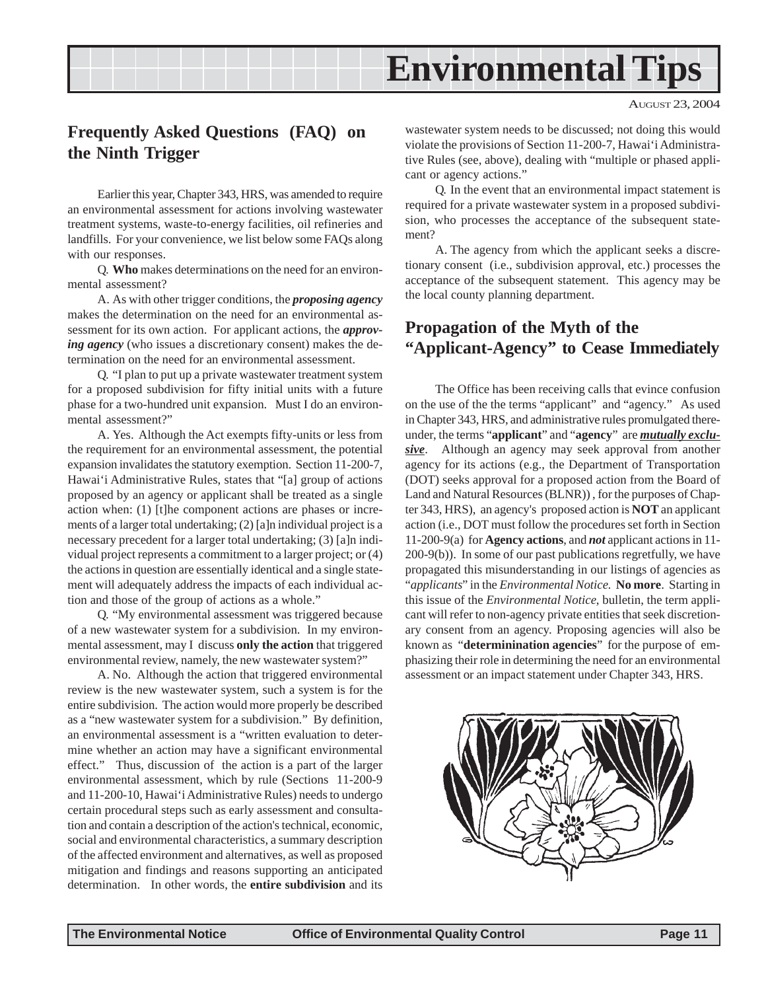## **Environmental Tips**

## <span id="page-10-0"></span>**Frequently Asked Questions (FAQ) on the Ninth Trigger**

Earlier this year, Chapter 343, HRS, was amended to require an environmental assessment for actions involving wastewater treatment systems, waste-to-energy facilities, oil refineries and landfills. For your convenience, we list below some FAQs along with our responses.

Q. **Who** makes determinations on the need for an environmental assessment?

A. As with other trigger conditions, the *proposing agency* makes the determination on the need for an environmental assessment for its own action. For applicant actions, the *approving agency* (who issues a discretionary consent) makes the determination on the need for an environmental assessment.

Q. "I plan to put up a private wastewater treatment system for a proposed subdivision for fifty initial units with a future phase for a two-hundred unit expansion. Must I do an environmental assessment?"

A. Yes. Although the Act exempts fifty-units or less from the requirement for an environmental assessment, the potential expansion invalidates the statutory exemption. Section 11-200-7, Hawai'i Administrative Rules, states that "[a] group of actions proposed by an agency or applicant shall be treated as a single action when: (1) [t]he component actions are phases or increments of a larger total undertaking; (2) [a]n individual project is a necessary precedent for a larger total undertaking; (3) [a]n individual project represents a commitment to a larger project; or (4) the actions in question are essentially identical and a single statement will adequately address the impacts of each individual action and those of the group of actions as a whole."

Q. "My environmental assessment was triggered because of a new wastewater system for a subdivision. In my environmental assessment, may I discuss **only the action** that triggered environmental review, namely, the new wastewater system?"

A. No. Although the action that triggered environmental review is the new wastewater system, such a system is for the entire subdivision. The action would more properly be described as a "new wastewater system for a subdivision." By definition, an environmental assessment is a "written evaluation to determine whether an action may have a significant environmental effect." Thus, discussion of the action is a part of the larger environmental assessment, which by rule (Sections 11-200-9 and 11-200-10, Hawai'i Administrative Rules) needs to undergo certain procedural steps such as early assessment and consultation and contain a description of the action's technical, economic, social and environmental characteristics, a summary description of the affected environment and alternatives, as well as proposed mitigation and findings and reasons supporting an anticipated determination. In other words, the **entire subdivision** and its

wastewater system needs to be discussed; not doing this would violate the provisions of Section 11-200-7, Hawai'i Administrative Rules (see, above), dealing with "multiple or phased applicant or agency actions."

Q. In the event that an environmental impact statement is required for a private wastewater system in a proposed subdivision, who processes the acceptance of the subsequent statement?

A. The agency from which the applicant seeks a discretionary consent (i.e., subdivision approval, etc.) processes the acceptance of the subsequent statement. This agency may be the local county planning department.

## **Propagation of the Myth of the "Applicant-Agency" to Cease Immediately**

The Office has been receiving calls that evince confusion on the use of the the terms "applicant" and "agency." As used in Chapter 343, HRS, and administrative rules promulgated thereunder, the terms "**applicant**" and "**agency**" are *mutually exclu*sive. Although an agency may seek approval from another agency for its actions (e.g., the Department of Transportation (DOT) seeks approval for a proposed action from the Board of Land and Natural Resources (BLNR)) , for the purposes of Chapter 343, HRS), an agency's proposed action is **NOT** an applicant action (i.e., DOT must follow the procedures set forth in Section 11-200-9(a) for **Agency actions**, and *not* applicant actions in 11- 200-9(b)). In some of our past publications regretfully, we have propagated this misunderstanding in our listings of agencies as "*applicants*" in the *Environmental Notice.* **No more**. Starting in this issue of the *Environmental Notice*, bulletin, the term applicant will refer to non-agency private entities that seek discretionary consent from an agency. Proposing agencies will also be known as "**determinination agencies**" for the purpose of emphasizing their role in determining the need for an environmental assessment or an impact statement under Chapter 343, HRS.

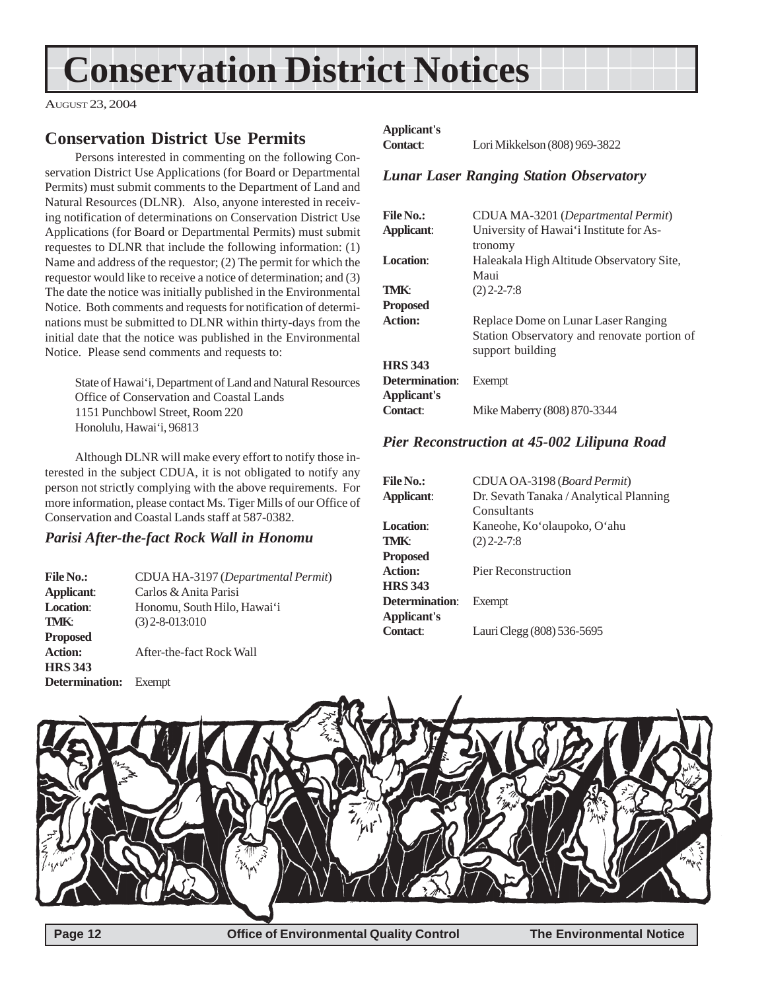## <span id="page-11-0"></span>**Conservation District Notices**

AUGUST 23, 2004

## **Conservation District Use Permits**

Persons interested in commenting on the following Conservation District Use Applications (for Board or Departmental Permits) must submit comments to the Department of Land and Natural Resources (DLNR). Also, anyone interested in receiving notification of determinations on Conservation District Use Applications (for Board or Departmental Permits) must submit requestes to DLNR that include the following information: (1) Name and address of the requestor; (2) The permit for which the requestor would like to receive a notice of determination; and (3) The date the notice was initially published in the Environmental Notice. Both comments and requests for notification of determinations must be submitted to DLNR within thirty-days from the initial date that the notice was published in the Environmental Notice. Please send comments and requests to:

State of Hawai'i, Department of Land and Natural Resources Office of Conservation and Coastal Lands 1151 Punchbowl Street, Room 220 Honolulu, Hawai'i, 96813

Although DLNR will make every effort to notify those interested in the subject CDUA, it is not obligated to notify any person not strictly complying with the above requirements. For more information, please contact Ms. Tiger Mills of our Office of Conservation and Coastal Lands staff at 587-0382.

### *Parisi After-the-fact Rock Wall in Honomu*

| <b>File No.:</b>             | CDUA HA-3197 (Departmental Permit) |
|------------------------------|------------------------------------|
| Applicant:                   | Carlos & Anita Parisi              |
| <b>Location:</b>             | Honomu, South Hilo, Hawai'i        |
| TMK:                         | $(3)$ 2-8-013:010                  |
| <b>Proposed</b>              |                                    |
| <b>Action:</b>               | After-the-fact Rock Wall           |
| <b>HRS 343</b>               |                                    |
| <b>Determination:</b> Exempt |                                    |

### **Applicant's**

**Contact**: Lori Mikkelson (808) 969-3822

### *Lunar Laser Ranging Station Observatory*

| <b>File No.:</b>   | CDUA MA-3201 (Departmental Permit)          |
|--------------------|---------------------------------------------|
| <b>Applicant:</b>  | University of Hawai'i Institute for As-     |
|                    | tronomy                                     |
| Location:          | Haleakala High Altitude Observatory Site.   |
|                    | Maui                                        |
| <b>TMK:</b>        | $(2)$ 2-2-7:8                               |
| <b>Proposed</b>    |                                             |
| <b>Action:</b>     | Replace Dome on Lunar Laser Ranging         |
|                    | Station Observatory and renovate portion of |
|                    | support building                            |
| <b>HRS 343</b>     |                                             |
| Determination:     | Exempt                                      |
| <b>Applicant's</b> |                                             |
| Contact:           | Mike Maberry (808) 870-3344                 |
|                    |                                             |

### *Pier Reconstruction at 45-002 Lilipuna Road*

| <b>File No.:</b>      | CDUA OA-3198 (Board Permit)             |
|-----------------------|-----------------------------------------|
| Applicant:            | Dr. Sevath Tanaka / Analytical Planning |
|                       | Consultants                             |
| <b>Location:</b>      | Kaneohe, Ko'olaupoko, O'ahu             |
| <b>TMK:</b>           | $(2)$ 2-2-7:8                           |
| <b>Proposed</b>       |                                         |
| <b>Action:</b>        | <b>Pier Reconstruction</b>              |
| <b>HRS</b> 343        |                                         |
| <b>Determination:</b> | Exempt                                  |
| <b>Applicant's</b>    |                                         |
| <b>Contact:</b>       | Lauri Clegg (808) 536-5695              |
|                       |                                         |

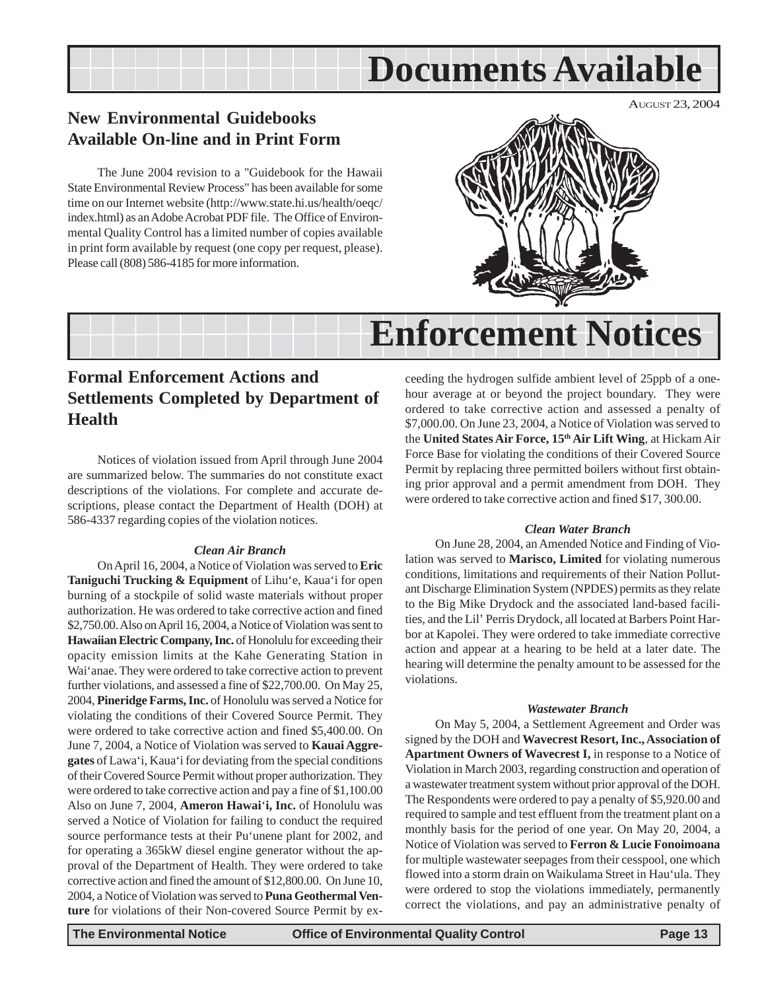## **Documents Available**

## <span id="page-12-0"></span>**New Environmental Guidebooks Available On-line and in Print Form**

The June 2004 revision to a "Guidebook for the Hawaii State Environmental Review Process" has been available for some time on our Internet website (http://www.state.hi.us/health/oeqc/ index.html) as an Adobe Acrobat PDF file. The Office of Environmental Quality Control has a limited number of copies available in print form available by request (one copy per request, please). Please call (808) 586-4185 for more information.



## **Enforcement Notices**

## **Formal Enforcement Actions and Settlements Completed by Department of Health**

Notices of violation issued from April through June 2004 are summarized below. The summaries do not constitute exact descriptions of the violations. For complete and accurate descriptions, please contact the Department of Health (DOH) at 586-4337 regarding copies of the violation notices.

#### *Clean Air Branch*

On April 16, 2004, a Notice of Violation was served to **Eric Taniguchi Trucking & Equipment** of Lihu'e, Kaua'i for open burning of a stockpile of solid waste materials without proper authorization. He was ordered to take corrective action and fined \$2,750.00. Also on April 16, 2004, a Notice of Violation was sent to **Hawaiian Electric Company, Inc.** of Honolulu for exceeding their opacity emission limits at the Kahe Generating Station in Wai'anae. They were ordered to take corrective action to prevent further violations, and assessed a fine of \$22,700.00. On May 25, 2004, **Pineridge Farms, Inc.** of Honolulu was served a Notice for violating the conditions of their Covered Source Permit. They were ordered to take corrective action and fined \$5,400.00. On June 7, 2004, a Notice of Violation was served to **Kauai Aggregates** of Lawa'i, Kaua'i for deviating from the special conditions of their Covered Source Permit without proper authorization. They were ordered to take corrective action and pay a fine of \$1,100.00 Also on June 7, 2004, **Ameron Hawai**'**i, Inc.** of Honolulu was served a Notice of Violation for failing to conduct the required source performance tests at their Pu'unene plant for 2002, and for operating a 365kW diesel engine generator without the approval of the Department of Health. They were ordered to take corrective action and fined the amount of \$12,800.00. On June 10, 2004, a Notice of Violation was served to **Puna Geothermal Venture** for violations of their Non-covered Source Permit by exceeding the hydrogen sulfide ambient level of 25ppb of a onehour average at or beyond the project boundary. They were ordered to take corrective action and assessed a penalty of \$7,000.00. On June 23, 2004, a Notice of Violation was served to the **United States Air Force, 15th Air Lift Wing**, at Hickam Air Force Base for violating the conditions of their Covered Source Permit by replacing three permitted boilers without first obtaining prior approval and a permit amendment from DOH. They were ordered to take corrective action and fined \$17, 300.00.

#### *Clean Water Branch*

On June 28, 2004, an Amended Notice and Finding of Violation was served to **Marisco, Limited** for violating numerous conditions, limitations and requirements of their Nation Pollutant Discharge Elimination System (NPDES) permits as they relate to the Big Mike Drydock and the associated land-based facilities, and the Lil' Perris Drydock, all located at Barbers Point Harbor at Kapolei. They were ordered to take immediate corrective action and appear at a hearing to be held at a later date. The hearing will determine the penalty amount to be assessed for the violations.

#### *Wastewater Branch*

On May 5, 2004, a Settlement Agreement and Order was signed by the DOH and **Wavecrest Resort, Inc., Association of Apartment Owners of Wavecrest I,** in response to a Notice of Violation in March 2003, regarding construction and operation of a wastewater treatment system without prior approval of the DOH. The Respondents were ordered to pay a penalty of \$5,920.00 and required to sample and test effluent from the treatment plant on a monthly basis for the period of one year. On May 20, 2004, a Notice of Violation was served to **Ferron & Lucie Fonoimoana** for multiple wastewater seepages from their cesspool, one which flowed into a storm drain on Waikulama Street in Hau'ula. They were ordered to stop the violations immediately, permanently correct the violations, and pay an administrative penalty of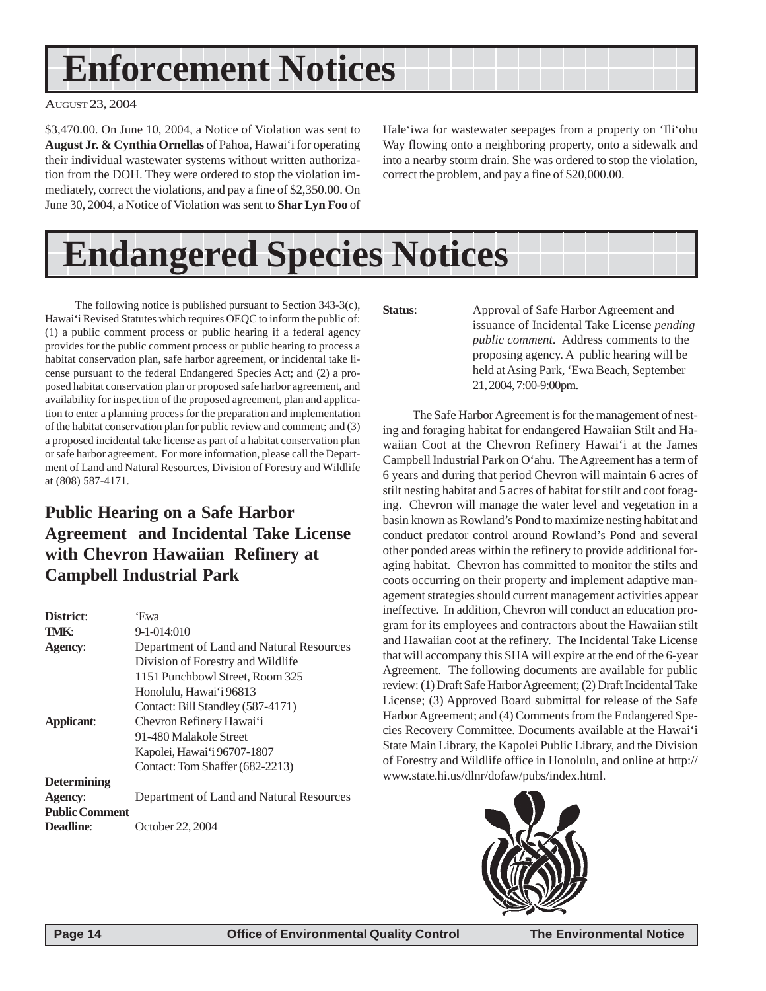## <span id="page-13-0"></span> **Enforcement Notices**

AUGUST 23, 2004

\$3,470.00. On June 10, 2004, a Notice of Violation was sent to **August Jr. & Cynthia Ornellas** of Pahoa, Hawai'i for operating their individual wastewater systems without written authorization from the DOH. They were ordered to stop the violation immediately, correct the violations, and pay a fine of \$2,350.00. On June 30, 2004, a Notice of Violation was sent to **Shar Lyn Foo** of Hale'iwa for wastewater seepages from a property on 'Ili'ohu Way flowing onto a neighboring property, onto a sidewalk and into a nearby storm drain. She was ordered to stop the violation, correct the problem, and pay a fine of \$20,000.00.

## **Endangered Species Notices**

The following notice is published pursuant to Section 343-3(c), Hawai'i Revised Statutes which requires OEQC to inform the public of: (1) a public comment process or public hearing if a federal agency provides for the public comment process or public hearing to process a habitat conservation plan, safe harbor agreement, or incidental take license pursuant to the federal Endangered Species Act; and (2) a proposed habitat conservation plan or proposed safe harbor agreement, and availability for inspection of the proposed agreement, plan and application to enter a planning process for the preparation and implementation of the habitat conservation plan for public review and comment; and (3) a proposed incidental take license as part of a habitat conservation plan or safe harbor agreement. For more information, please call the Department of Land and Natural Resources, Division of Forestry and Wildlife at (808) 587-4171.

## **Public Hearing on a Safe Harbor Agreement and Incidental Take License with Chevron Hawaiian Refinery at Campbell Industrial Park**

| District:             | 'Ewa                                     |
|-----------------------|------------------------------------------|
| TMK:                  | $9 - 1 - 014:010$                        |
| Agency:               | Department of Land and Natural Resources |
|                       | Division of Forestry and Wildlife        |
|                       | 1151 Punchbowl Street, Room 325          |
|                       | Honolulu, Hawai'i 96813                  |
|                       | Contact: Bill Standley (587-4171)        |
| Applicant:            | Chevron Refinery Hawai'i                 |
|                       | 91-480 Malakole Street                   |
|                       | Kapolei, Hawai'i 96707-1807              |
|                       | Contact: Tom Shaffer (682-2213)          |
| <b>Determining</b>    |                                          |
| Agency:               | Department of Land and Natural Resources |
| <b>Public Comment</b> |                                          |
| <b>Deadline:</b>      | October 22, 2004                         |

**Status**: Approval of Safe Harbor Agreement and issuance of Incidental Take License *pending public comment*. Address comments to the proposing agency. A public hearing will be held at Asing Park, 'Ewa Beach, September 21, 2004, 7:00-9:00pm.

The Safe Harbor Agreement is for the management of nesting and foraging habitat for endangered Hawaiian Stilt and Hawaiian Coot at the Chevron Refinery Hawai'i at the James Campbell Industrial Park on O'ahu. The Agreement has a term of 6 years and during that period Chevron will maintain 6 acres of stilt nesting habitat and 5 acres of habitat for stilt and coot foraging. Chevron will manage the water level and vegetation in a basin known as Rowland's Pond to maximize nesting habitat and conduct predator control around Rowland's Pond and several other ponded areas within the refinery to provide additional foraging habitat. Chevron has committed to monitor the stilts and coots occurring on their property and implement adaptive management strategies should current management activities appear ineffective. In addition, Chevron will conduct an education program for its employees and contractors about the Hawaiian stilt and Hawaiian coot at the refinery. The Incidental Take License that will accompany this SHA will expire at the end of the 6-year Agreement. The following documents are available for public review: (1) Draft Safe Harbor Agreement; (2) Draft Incidental Take License; (3) Approved Board submittal for release of the Safe Harbor Agreement; and (4) Comments from the Endangered Species Recovery Committee. Documents available at the Hawai'i State Main Library, the Kapolei Public Library, and the Division of Forestry and Wildlife office in Honolulu, and online at http:// www.state.hi.us/dlnr/dofaw/pubs/index.html.

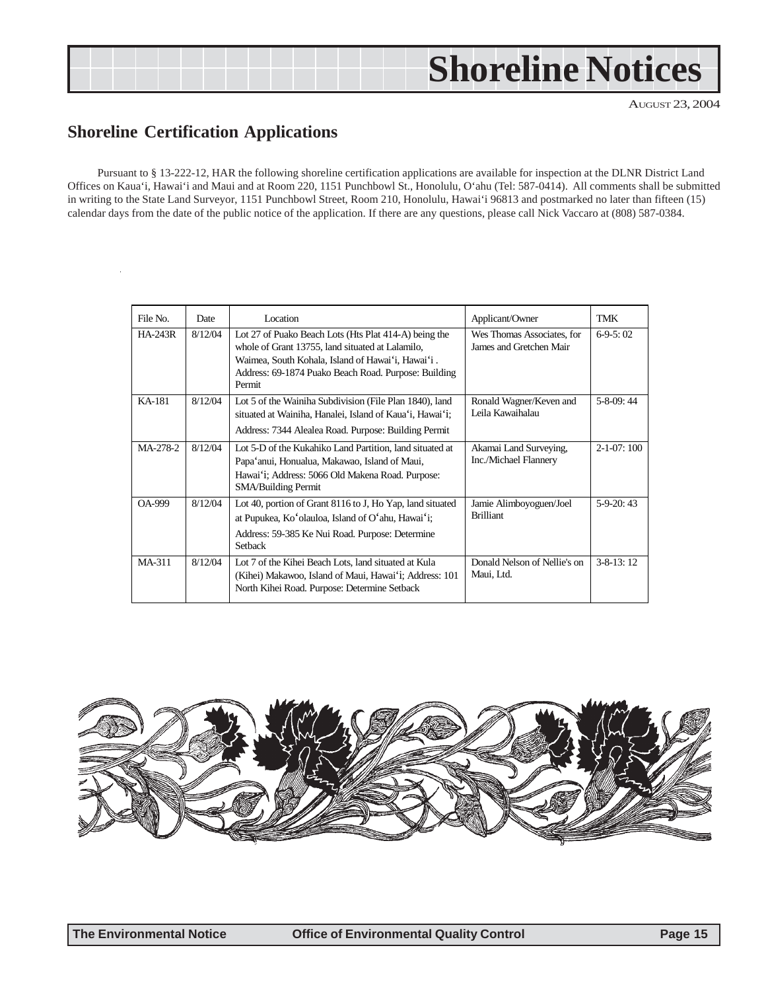## <span id="page-14-0"></span>**Shoreline Notices**

AUGUST 23, 2004

## **Shoreline Certification Applications**

Pursuant to § 13-222-12, HAR the following shoreline certification applications are available for inspection at the DLNR District Land Offices on Kaua'i, Hawai'i and Maui and at Room 220, 1151 Punchbowl St., Honolulu, O'ahu (Tel: 587-0414). All comments shall be submitted in writing to the State Land Surveyor, 1151 Punchbowl Street, Room 210, Honolulu, Hawai'i 96813 and postmarked no later than fifteen (15) calendar days from the date of the public notice of the application. If there are any questions, please call Nick Vaccaro at (808) 587-0384.

| File No.       | Date    | Location                                                                                                                                                                                                                         | Applicant/Owner                                       | TMK               |
|----------------|---------|----------------------------------------------------------------------------------------------------------------------------------------------------------------------------------------------------------------------------------|-------------------------------------------------------|-------------------|
| <b>HA-243R</b> | 8/12/04 | Lot 27 of Puako Beach Lots (Hts Plat 414-A) being the<br>whole of Grant 13755, land situated at Lalamilo,<br>Waimea, South Kohala, Island of Hawai'i, Hawai'i.<br>Address: 69-1874 Puako Beach Road. Purpose: Building<br>Permit | Wes Thomas Associates, for<br>James and Gretchen Mair | $6-9-5:02$        |
| KA-181         | 8/12/04 | Lot 5 of the Wainiha Subdivision (File Plan 1840), land<br>situated at Wainiha, Hanalei, Island of Kaua'i, Hawai'i;<br>Address: 7344 Alealea Road. Purpose: Building Permit                                                      | Ronald Wagner/Keven and<br>Leila Kawaihalau           | $5-8-09:44$       |
| MA-278-2       | 8/12/04 | Lot 5-D of the Kukahiko Land Partition, land situated at<br>Papa'anui, Honualua, Makawao, Island of Maui,<br>Hawai'i; Address: 5066 Old Makena Road. Purpose:<br><b>SMA/Building Permit</b>                                      | Akamai Land Surveying,<br>Inc./Michael Flannery       | $2 - 1 - 07:100$  |
| OA-999         | 8/12/04 | Lot 40, portion of Grant 8116 to J, Ho Yap, land situated<br>at Pupukea, Ko'olauloa, Island of O'ahu, Hawai'i;<br>Address: 59-385 Ke Nui Road. Purpose: Determine<br>Setback                                                     | Jamie Alimboyoguen/Joel<br><b>Brilliant</b>           | $5-9-20:43$       |
| MA-311         | 8/12/04 | Lot 7 of the Kihei Beach Lots, land situated at Kula<br>(Kihei) Makawoo, Island of Maui, Hawai'i; Address: 101<br>North Kihei Road. Purpose: Determine Setback                                                                   | Donald Nelson of Nellie's on<br>Maui, Ltd.            | $3 - 8 - 13$ : 12 |

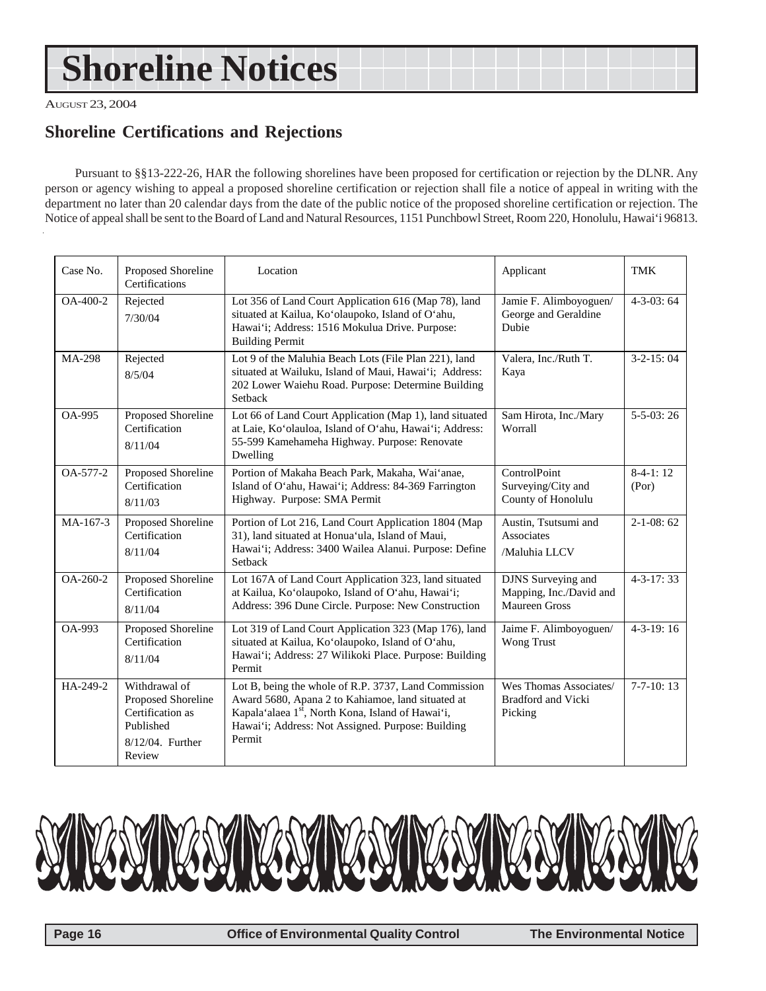## <span id="page-15-0"></span> **Shoreline Notices**

AUGUST 23, 2004

## **Shoreline Certifications and Rejections**

Pursuant to §§13-222-26, HAR the following shorelines have been proposed for certification or rejection by the DLNR. Any person or agency wishing to appeal a proposed shoreline certification or rejection shall file a notice of appeal in writing with the department no later than 20 calendar days from the date of the public notice of the proposed shoreline certification or rejection. The Notice of appeal shall be sent to the Board of Land and Natural Resources, 1151 Punchbowl Street, Room 220, Honolulu, Hawai'i 96813.

| Case No.      | Proposed Shoreline<br>Certifications                                                               | Location                                                                                                                                                                                                                     | Applicant                                                      | <b>TMK</b>          |
|---------------|----------------------------------------------------------------------------------------------------|------------------------------------------------------------------------------------------------------------------------------------------------------------------------------------------------------------------------------|----------------------------------------------------------------|---------------------|
| OA-400-2      | Rejected<br>7/30/04                                                                                | Lot 356 of Land Court Application 616 (Map 78), land<br>situated at Kailua, Ko'olaupoko, Island of O'ahu,<br>Hawai'i; Address: 1516 Mokulua Drive. Purpose:<br><b>Building Permit</b>                                        | Jamie F. Alimboyoguen/<br>George and Geraldine<br>Dubie        | $4-3-03:64$         |
| <b>MA-298</b> | Rejected<br>8/5/04                                                                                 | Lot 9 of the Maluhia Beach Lots (File Plan 221), land<br>situated at Wailuku, Island of Maui, Hawai'i; Address:<br>202 Lower Waiehu Road. Purpose: Determine Building<br>Setback                                             | Valera, Inc./Ruth T.<br>Kaya                                   | $3-2-15:04$         |
| <b>OA-995</b> | Proposed Shoreline<br>Certification<br>8/11/04                                                     | Lot 66 of Land Court Application (Map 1), land situated<br>at Laie, Ko'olauloa, Island of O'ahu, Hawai'i; Address:<br>55-599 Kamehameha Highway. Purpose: Renovate<br>Dwelling                                               | Sam Hirota, Inc./Mary<br>Worrall                               | $5 - 5 - 03:26$     |
| OA-577-2      | Proposed Shoreline<br>Certification<br>8/11/03                                                     | Portion of Makaha Beach Park, Makaha, Wai'anae,<br>Island of O'ahu, Hawai'i; Address: 84-369 Farrington<br>Highway. Purpose: SMA Permit                                                                                      | ControlPoint<br>Surveying/City and<br>County of Honolulu       | $8-4-1:12$<br>(Por) |
| MA-167-3      | Proposed Shoreline<br>Certification<br>8/11/04                                                     | Portion of Lot 216, Land Court Application 1804 (Map<br>31), land situated at Honua'ula, Island of Maui,<br>Hawai'i; Address: 3400 Wailea Alanui. Purpose: Define<br>Setback                                                 | Austin, Tsutsumi and<br>Associates<br>/Maluhia LLCV            | $2-1-08:62$         |
| OA-260-2      | Proposed Shoreline<br>Certification<br>8/11/04                                                     | Lot 167A of Land Court Application 323, land situated<br>at Kailua, Ko'olaupoko, Island of O'ahu, Hawai'i;<br>Address: 396 Dune Circle. Purpose: New Construction                                                            | DJNS Surveying and<br>Mapping, Inc./David and<br>Maureen Gross | $4 - 3 - 17:33$     |
| OA-993        | Proposed Shoreline<br>Certification<br>8/11/04                                                     | Lot 319 of Land Court Application 323 (Map 176), land<br>situated at Kailua, Ko'olaupoko, Island of O'ahu,<br>Hawai'i; Address: 27 Wilikoki Place. Purpose: Building<br>Permit                                               | Jaime F. Alimboyoguen/<br><b>Wong Trust</b>                    | $4-3-19:16$         |
| HA-249-2      | Withdrawal of<br>Proposed Shoreline<br>Certification as<br>Published<br>8/12/04. Further<br>Review | Lot B, being the whole of R.P. 3737, Land Commission<br>Award 5680, Apana 2 to Kahiamoe, land situated at<br>Kapala'alaea 1st, North Kona, Island of Hawai'i,<br>Hawai'i; Address: Not Assigned. Purpose: Building<br>Permit | Wes Thomas Associates/<br><b>Bradford and Vicki</b><br>Picking | $7-7-10:13$         |

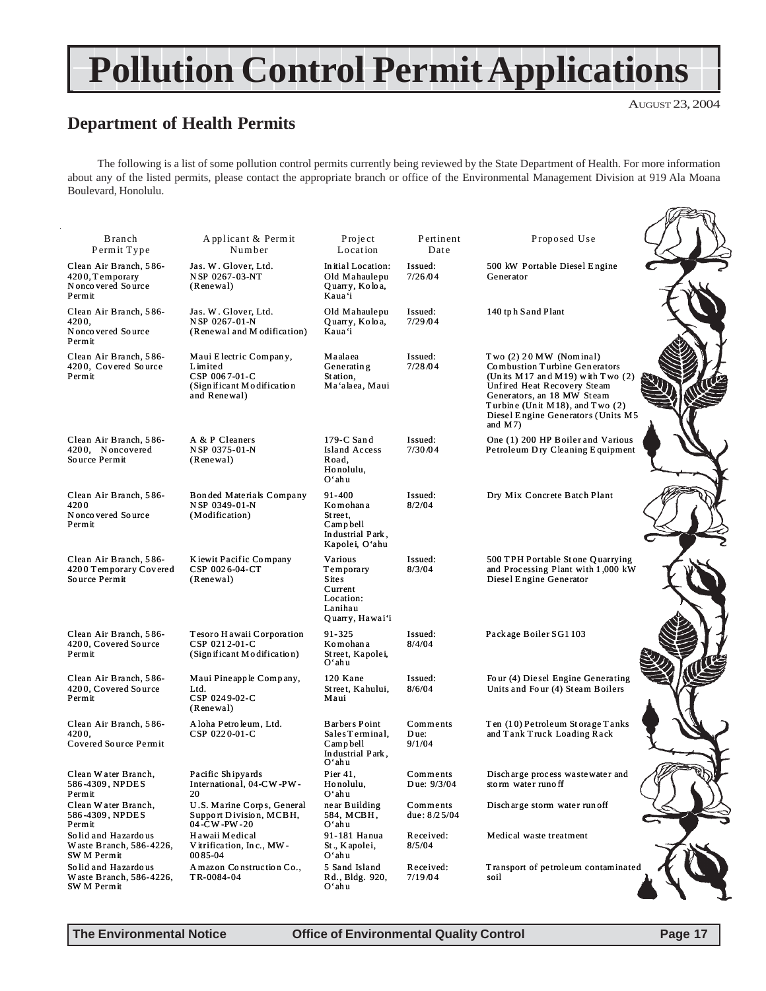## <span id="page-16-0"></span>**Pollution Control Permit Applications**

## **Department of Health Permits**

The following is a list of some pollution control permits currently being reviewed by the State Department of Health. For more information about any of the listed permits, please contact the appropriate branch or office of the Environmental Management Division at 919 Ala Moana Boulevard, Honolulu.

| <b>B</b> ranch<br>Permit Type                                             | Applicant & Permit<br>Number                                                                     | Project<br>Location                                                                        | Pertinent<br>Date          | Proposed Use                                                                                                                                                                                                                                            |  |
|---------------------------------------------------------------------------|--------------------------------------------------------------------------------------------------|--------------------------------------------------------------------------------------------|----------------------------|---------------------------------------------------------------------------------------------------------------------------------------------------------------------------------------------------------------------------------------------------------|--|
| Clean Air Branch, 586-<br>4200, Temporary<br>Nonco vered Source<br>Permit | Jas. W. Glover, Ltd.<br>NSP 0267-03-NT<br>(Renewal)                                              | In itial Location:<br>Old Mahaulepu<br>Quarry, Koloa,<br>Kaua'i                            | Issued:<br>7/26/04         | 500 kW Portable Diesel Engine<br>Generator                                                                                                                                                                                                              |  |
| Clean Air Branch, 586-<br>4200,<br>Nonco vered Source<br>Permit           | Jas. W. Glover, Ltd.<br>NSP 0267-01-N<br>(Renewal and M odification)                             | Old Mahaulepu<br>Quarry, Koloa,<br>Kaua'i                                                  | Issued:<br>7/29/04         | 140 tph Sand Plant                                                                                                                                                                                                                                      |  |
| Clean Air Branch, 586-<br>4200, Covered Source<br>Permit                  | Maui Electric Company,<br>Limited<br>CSP 0067-01-C<br>(Sign ificant Modification<br>and Renewal) | Maalaea<br>Generating<br>Station,<br>Ma'alaea, Maui                                        | Issued:<br>7/28/04         | Two (2) 20 MW (Nominal)<br>Combustion Turbine Generators<br>(Units $M17$ and $M19$ ) with Two $(2)$<br>Unfired Heat Recovery Steam<br>Generators, an 18 MW Steam<br>Turbine (Unit M18), and Two (2)<br>Diesel Engine Generators (Units M5<br>and $M(7)$ |  |
| Clean Air Branch, 586-<br>4200, Noncovered<br>Source Permit               | A & P Cleaners<br>NSP 0375-01-N<br>(Renewal)                                                     | 179-C Sand<br>Island Access<br>Road,<br>Honolulu,<br>O'ahu                                 | Issued:<br>7/30/04         | One (1) 200 HP Boiler and Various<br>Petroleum Dry Cleaning Equipment                                                                                                                                                                                   |  |
| Clean Air Branch, 586-<br>4200<br>Nonco vered Source<br>Permit            | Bonded Materials Company<br>N SP 0349-01-N<br>(Modification)                                     | 91-400<br>Komohana<br>Street.<br>Campbell<br>Industrial Park,<br>Kapolei, O'ahu            | Issued:<br>8/2/04          | Dry Mix Concrete Batch Plant                                                                                                                                                                                                                            |  |
| Clean Air Branch, 586-<br>4200 Temporary Covered<br>Source Permit         | Kiewit Pacific Company<br>CSP 0026-04-CT<br>(Renewal)                                            | Various<br>Temporary<br><b>Sites</b><br>Current<br>Location:<br>Lanihau<br>Quarry, Hawai'i | Issued:<br>8/3/04          | 500 TPH Portable Stone Quarrying<br>and Processing Plant with 1,000 kW<br>Diesel Engine Generator                                                                                                                                                       |  |
| Clean Air Branch, 586-<br>4200, Covered Source<br>Permit                  | Tesoro Hawaii Corporation<br>CSP 0212-01-C<br>(Sign if icant Modification)                       | 91-325<br>Komohan a<br>Street, Kapolei,<br>Oʻahu                                           | Issued:<br>8/4/04          | Package Boiler SG1 103                                                                                                                                                                                                                                  |  |
| Clean Air Branch, 586-<br>4200, Covered Source<br>Permit                  | Maui Pineapple Company,<br>Ltd.<br>CSP 0249-02-C<br>(Renewal)                                    | 120 Kane<br>Street, Kahului,<br>Maui                                                       | Issued:<br>8/6/04          | Four (4) Diesel Engine Generating<br>Units and Four (4) Steam Boilers                                                                                                                                                                                   |  |
| Clean Air Branch, 586-<br>4200,<br>Covered Source Permit                  | Aloha Petroleum, Ltd.<br>CSP 0220-01-C                                                           | <b>Barbers Point</b><br>Sales Terminal,<br>Campbell<br>Industrial Park,<br>Oʻahu           | Comments<br>Due:<br>9/1/04 | Ten (10) Petroleum Storage Tanks<br>and Tank Truck Loading Rack                                                                                                                                                                                         |  |
| Clean Water Branch,<br>586-4309, NPDES<br>Permit                          | Pacific Shipyards<br>International, 04-CW-PW-<br>20                                              | Pier $41$ ,<br>Honolulu,<br>Oʻahu                                                          | Comments<br>D ue: $9/3/04$ | Discharge process wastewater and<br>storm water runoff                                                                                                                                                                                                  |  |
| Clean Water Branch,<br>586-4309, NPDES<br>Permit                          | U.S. Marine Corps, General<br>Support Division, MCBH,<br>04 -CW -PW - 20                         | near Building<br>584, MCBH,<br>Oʻahu                                                       | Comments<br>due: $8/25/04$ | Discharge storm water run off                                                                                                                                                                                                                           |  |
| Solid and Hazardous<br>Waste Branch, 586-4226,<br>SW M Permit             | Hawaii Medical<br>Vitrification, Inc., MW-<br>0085-04                                            | 91-181 Hanua<br>St., Kapolei,<br>Oʻahu                                                     | Received:<br>8/5/04        | Medical waste treatment                                                                                                                                                                                                                                 |  |
| Solid and Hazardous<br>Waste Branch, 586-4226,<br>SW M Permit             | A mazon Construction Co.,<br>TR-0084-04                                                          | 5 Sand Island<br>Rd., Bldg. 920,<br>Oʻahu                                                  | Received:<br>7/19/04       | Transport of petroleum contaminated<br>soil                                                                                                                                                                                                             |  |

**The Environmental Notice Control Control Control Page 17** 

AUGUST 23, 2004

î≥n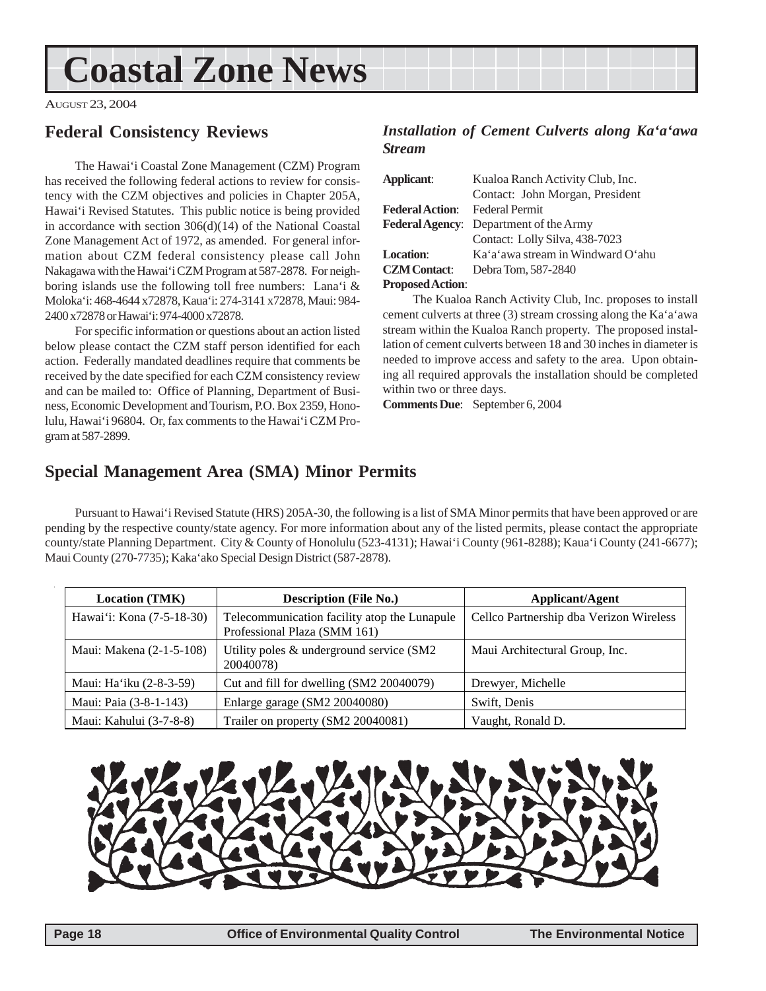## <span id="page-17-0"></span>**Coastal Zone News**

AUGUST 23, 2004

## **Federal Consistency Reviews**

The Hawai'i Coastal Zone Management (CZM) Program has received the following federal actions to review for consistency with the CZM objectives and policies in Chapter 205A, Hawai'i Revised Statutes. This public notice is being provided in accordance with section 306(d)(14) of the National Coastal Zone Management Act of 1972, as amended. For general information about CZM federal consistency please call John Nakagawa with the Hawai'i CZM Program at 587-2878. For neighboring islands use the following toll free numbers: Lana'i & Moloka'i: 468-4644 x72878, Kaua'i: 274-3141 x72878, Maui: 984- 2400 x72878 or Hawai'i: 974-4000 x72878.

For specific information or questions about an action listed below please contact the CZM staff person identified for each action. Federally mandated deadlines require that comments be received by the date specified for each CZM consistency review and can be mailed to: Office of Planning, Department of Business, Economic Development and Tourism, P.O. Box 2359, Honolulu, Hawai'i 96804. Or, fax comments to the Hawai'i CZM Program at 587-2899.

## *Installation of Cement Culverts along Ka'a'awa Stream*

| Applicant:                            | Kualoa Ranch Activity Club, Inc.       |  |  |  |
|---------------------------------------|----------------------------------------|--|--|--|
|                                       | Contact: John Morgan, President        |  |  |  |
| <b>Federal Action:</b> Federal Permit |                                        |  |  |  |
|                                       | Federal Agency: Department of the Army |  |  |  |
|                                       | Contact: Lolly Silva, 438-7023         |  |  |  |
| Location:                             | Ka'a'awa stream in Windward O'ahu      |  |  |  |
| <b>CZM</b> Contact:                   | Debra Tom, 587-2840                    |  |  |  |
| Dropped $\Lambda$ of $\sim$           |                                        |  |  |  |

**Proposed Action**:

The Kualoa Ranch Activity Club, Inc. proposes to install cement culverts at three (3) stream crossing along the Ka'a'awa stream within the Kualoa Ranch property. The proposed installation of cement culverts between 18 and 30 inches in diameter is needed to improve access and safety to the area. Upon obtaining all required approvals the installation should be completed within two or three days.

**Comments Due**: September 6, 2004

## **Special Management Area (SMA) Minor Permits**

Pursuant to Hawai'i Revised Statute (HRS) 205A-30, the following is a list of SMA Minor permits that have been approved or are pending by the respective county/state agency. For more information about any of the listed permits, please contact the appropriate county/state Planning Department. City & County of Honolulu (523-4131); Hawai'i County (961-8288); Kaua'i County (241-6677); Maui County (270-7735); Kaka'ako Special Design District (587-2878).

| <b>Location (TMK)</b>     | <b>Description (File No.)</b>                                                | Applicant/Agent                         |  |  |
|---------------------------|------------------------------------------------------------------------------|-----------------------------------------|--|--|
| Hawai'i: Kona (7-5-18-30) | Telecommunication facility atop the Lunapule<br>Professional Plaza (SMM 161) | Cellco Partnership dba Verizon Wireless |  |  |
| Maui: Makena (2-1-5-108)  | Utility poles & underground service (SM2<br>20040078)                        | Maui Architectural Group, Inc.          |  |  |
| Maui: Ha'iku (2-8-3-59)   | Cut and fill for dwelling (SM2 20040079)                                     | Drewyer, Michelle                       |  |  |
| Maui: Paia (3-8-1-143)    | Enlarge garage (SM2 20040080)                                                | Swift, Denis                            |  |  |
| Maui: Kahului (3-7-8-8)   | Trailer on property (SM2 20040081)                                           | Vaught, Ronald D.                       |  |  |

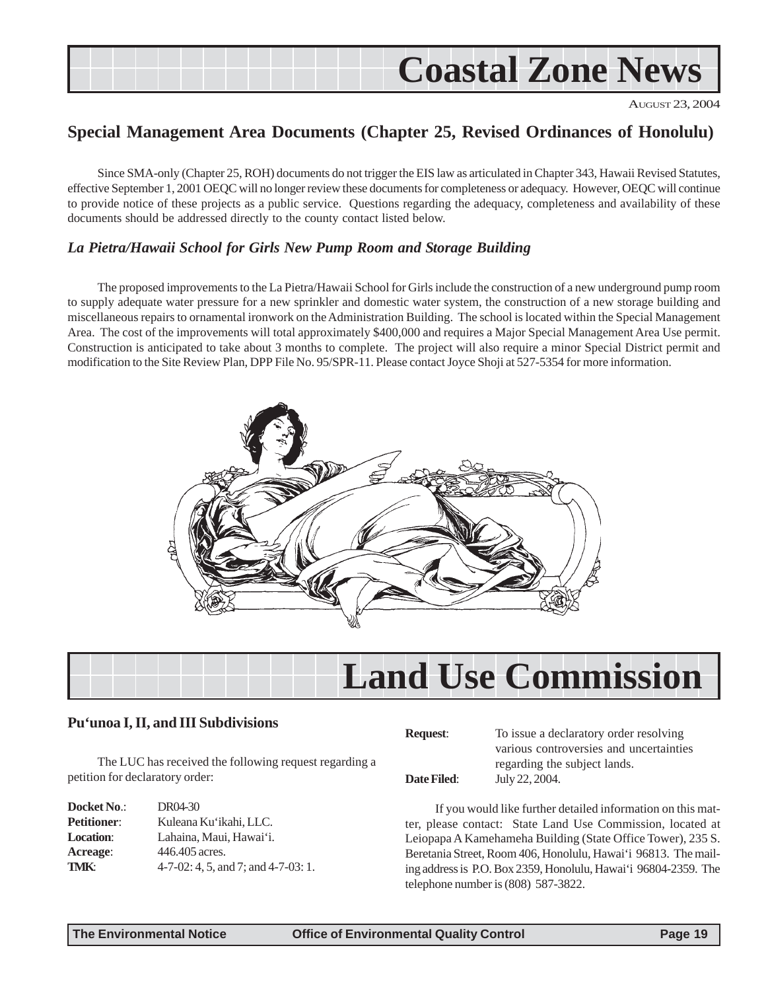<span id="page-18-0"></span>

AUGUST 23, 2004

## **Special Management Area Documents (Chapter 25, Revised Ordinances of Honolulu)**

Since SMA-only (Chapter 25, ROH) documents do not trigger the EIS law as articulated in Chapter 343, Hawaii Revised Statutes, effective September 1, 2001 OEQC will no longer review these documents for completeness or adequacy. However, OEQC will continue to provide notice of these projects as a public service. Questions regarding the adequacy, completeness and availability of these documents should be addressed directly to the county contact listed below.

#### *La Pietra/Hawaii School for Girls New Pump Room and Storage Building*

The proposed improvements to the La Pietra/Hawaii School for Girls include the construction of a new underground pump room to supply adequate water pressure for a new sprinkler and domestic water system, the construction of a new storage building and miscellaneous repairs to ornamental ironwork on the Administration Building. The school is located within the Special Management Area. The cost of the improvements will total approximately \$400,000 and requires a Major Special Management Area Use permit. Construction is anticipated to take about 3 months to complete. The project will also require a minor Special District permit and modification to the Site Review Plan, DPP File No. 95/SPR-11. Please contact Joyce Shoji at 527-5354 for more information.



|  |  | <b>Land Use Commission</b> |
|--|--|----------------------------|

#### **Pu'unoa I, II, and III Subdivisions**

The LUC has received the following request regarding a petition for declaratory order:

| DR04-30                                   |
|-------------------------------------------|
| Kuleana Ku'ikahi, LLC.                    |
| Lahaina, Maui, Hawai'i.                   |
| 446.405 acres.                            |
| $4-7-02$ : 4, 5, and 7; and $4-7-03$ : 1. |
|                                           |

**Request**: To issue a declaratory order resolving various controversies and uncertainties regarding the subject lands.

**Date Filed**: July 22, 2004.

If you would like further detailed information on this matter, please contact: State Land Use Commission, located at Leiopapa A Kamehameha Building (State Office Tower), 235 S. Beretania Street, Room 406, Honolulu, Hawai'i 96813. The mailing address is P.O. Box 2359, Honolulu, Hawai'i 96804-2359. The telephone number is (808) 587-3822.